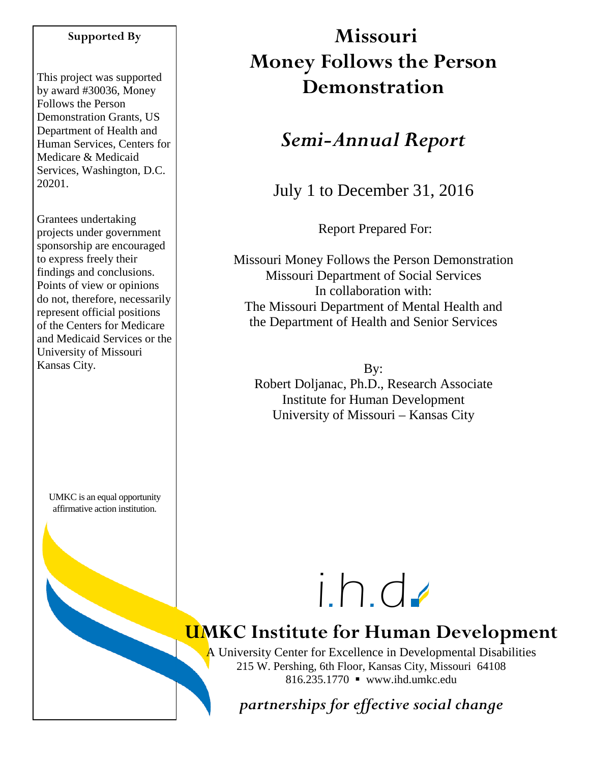#### **Supported By**

This project was supported by award #30036, Money Follows the Person Demonstration Grants, US Department of Health and Human Services, Centers for Medicare & Medicaid Services, Washington, D.C. 20201.

Grantees undertaking projects under government sponsorship are encouraged to express freely their findings and conclusions. Points of view or opinions do not, therefore, necessarily represent official positions of the Centers for Medicare and Medicaid Services or the University of Missouri Kansas City.

UMKC is an equal opportunity affirmative action institution.

# **Missouri Money Follows the Person Demonstration**

## *Semi-Annual Report*

July 1 to December 31, 2016

Report Prepared For:

Missouri Money Follows the Person Demonstration Missouri Department of Social Services In collaboration with: The Missouri Department of Mental Health and the Department of Health and Senior Services

By: Robert Doljanac, Ph.D., Research Associate Institute for Human Development University of Missouri – Kansas City



# **UMKC Institute for Human Development**

A University Center for Excellence in Developmental Disabilities 215 W. Pershing, 6th Floor, Kansas City, Missouri 64108 816.235.1770 www.ihd.umkc.edu

*partnerships for effective social change*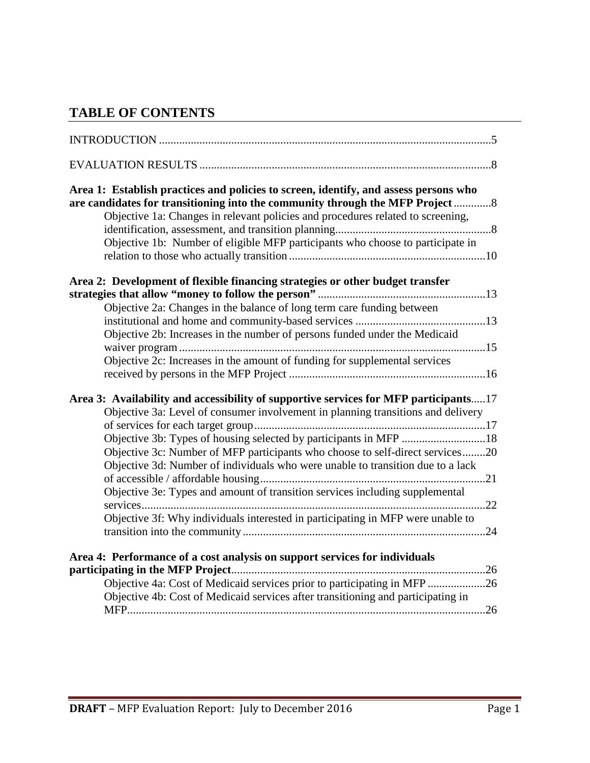## **TABLE OF CONTENTS**

| Area 1: Establish practices and policies to screen, identify, and assess persons who<br>are candidates for transitioning into the community through the MFP Project 8    |
|--------------------------------------------------------------------------------------------------------------------------------------------------------------------------|
| Objective 1a: Changes in relevant policies and procedures related to screening,                                                                                          |
|                                                                                                                                                                          |
| Objective 1b: Number of eligible MFP participants who choose to participate in                                                                                           |
| Area 2: Development of flexible financing strategies or other budget transfer                                                                                            |
|                                                                                                                                                                          |
| Objective 2a: Changes in the balance of long term care funding between                                                                                                   |
|                                                                                                                                                                          |
| Objective 2b: Increases in the number of persons funded under the Medicaid                                                                                               |
|                                                                                                                                                                          |
| Objective 2c: Increases in the amount of funding for supplemental services                                                                                               |
|                                                                                                                                                                          |
|                                                                                                                                                                          |
| Area 3: Availability and accessibility of supportive services for MFP participants17<br>Objective 3a: Level of consumer involvement in planning transitions and delivery |
|                                                                                                                                                                          |
| Objective 3b: Types of housing selected by participants in MFP 18                                                                                                        |
| Objective 3c: Number of MFP participants who choose to self-direct services20                                                                                            |
| Objective 3d: Number of individuals who were unable to transition due to a lack                                                                                          |
|                                                                                                                                                                          |
| Objective 3e: Types and amount of transition services including supplemental                                                                                             |
|                                                                                                                                                                          |
| Objective 3f: Why individuals interested in participating in MFP were unable to                                                                                          |
|                                                                                                                                                                          |
|                                                                                                                                                                          |
| Area 4: Performance of a cost analysis on support services for individuals                                                                                               |
|                                                                                                                                                                          |
| Objective 4a: Cost of Medicaid services prior to participating in MFP 26                                                                                                 |
| Objective 4b: Cost of Medicaid services after transitioning and participating in                                                                                         |
|                                                                                                                                                                          |
|                                                                                                                                                                          |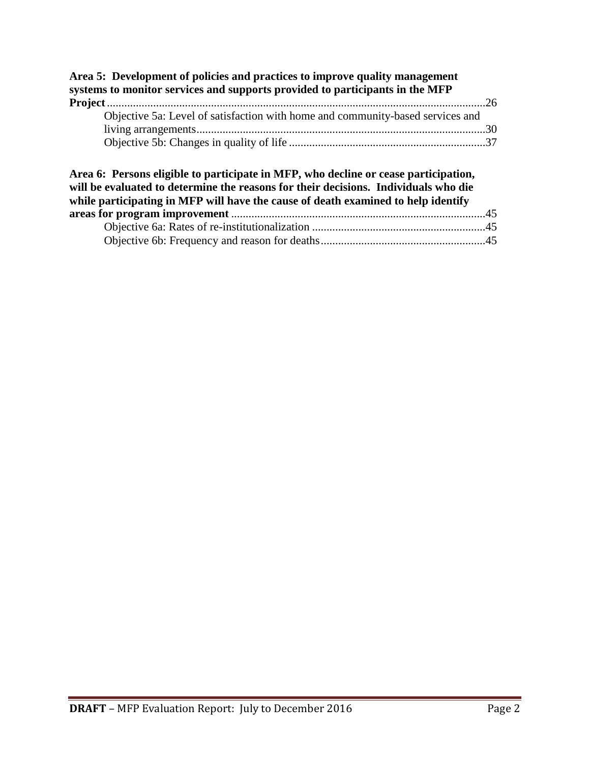| Objective 5a: Level of satisfaction with home and community-based services and                                                                                                                                                                                  |  |
|-----------------------------------------------------------------------------------------------------------------------------------------------------------------------------------------------------------------------------------------------------------------|--|
|                                                                                                                                                                                                                                                                 |  |
|                                                                                                                                                                                                                                                                 |  |
| Area 6: Persons eligible to participate in MFP, who decline or cease participation,<br>will be evaluated to determine the reasons for their decisions. Individuals who die<br>while participating in MFP will have the cause of death examined to help identify |  |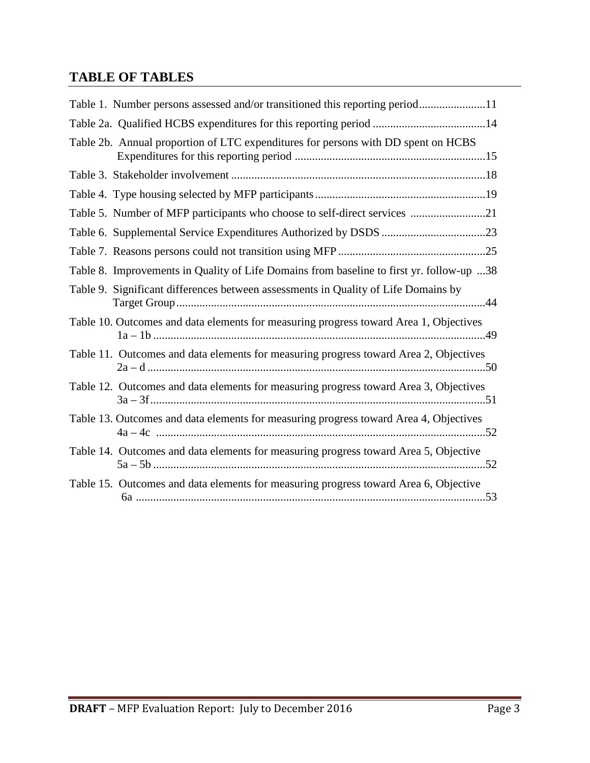## **TABLE OF TABLES**

| Table 1. Number persons assessed and/or transitioned this reporting period11             |
|------------------------------------------------------------------------------------------|
|                                                                                          |
| Table 2b. Annual proportion of LTC expenditures for persons with DD spent on HCBS        |
|                                                                                          |
|                                                                                          |
| Table 5. Number of MFP participants who choose to self-direct services 21                |
|                                                                                          |
|                                                                                          |
| Table 8. Improvements in Quality of Life Domains from baseline to first yr. follow-up 38 |
| Table 9. Significant differences between assessments in Quality of Life Domains by       |
| Table 10. Outcomes and data elements for measuring progress toward Area 1, Objectives    |
| Table 11. Outcomes and data elements for measuring progress toward Area 2, Objectives    |
| Table 12. Outcomes and data elements for measuring progress toward Area 3, Objectives    |
| Table 13. Outcomes and data elements for measuring progress toward Area 4, Objectives    |
| Table 14. Outcomes and data elements for measuring progress toward Area 5, Objective     |
| Table 15. Outcomes and data elements for measuring progress toward Area 6, Objective     |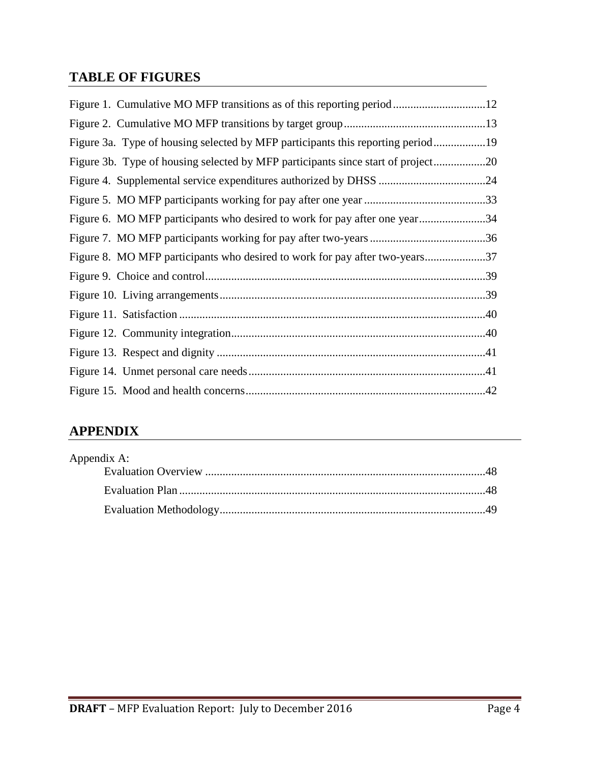## **TABLE OF FIGURES**

| Figure 3a. Type of housing selected by MFP participants this reporting period19  |  |
|----------------------------------------------------------------------------------|--|
| Figure 3b. Type of housing selected by MFP participants since start of project20 |  |
|                                                                                  |  |
|                                                                                  |  |
| Figure 6. MO MFP participants who desired to work for pay after one year34       |  |
|                                                                                  |  |
| Figure 8. MO MFP participants who desired to work for pay after two-years37      |  |
|                                                                                  |  |
|                                                                                  |  |
|                                                                                  |  |
|                                                                                  |  |
|                                                                                  |  |
|                                                                                  |  |
|                                                                                  |  |

## **APPENDIX**

| Appendix A: |  |
|-------------|--|
|             |  |
|             |  |
|             |  |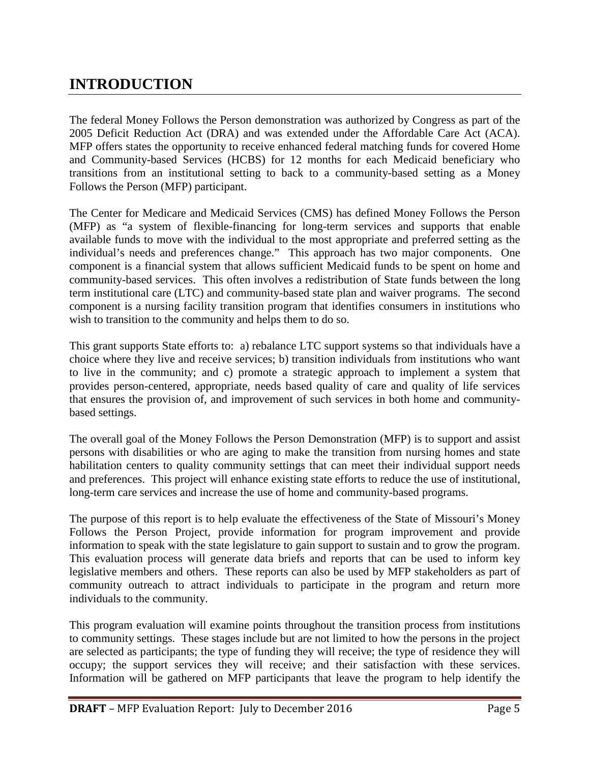## **INTRODUCTION**

The federal Money Follows the Person demonstration was authorized by Congress as part of the 2005 Deficit Reduction Act (DRA) and was extended under the Affordable Care Act (ACA). MFP offers states the opportunity to receive enhanced federal matching funds for covered Home and Community-based Services (HCBS) for 12 months for each Medicaid beneficiary who transitions from an institutional setting to back to a community-based setting as a Money Follows the Person (MFP) participant.

The Center for Medicare and Medicaid Services (CMS) has defined Money Follows the Person (MFP) as "a system of flexible-financing for long-term services and supports that enable available funds to move with the individual to the most appropriate and preferred setting as the individual's needs and preferences change." This approach has two major components. One component is a financial system that allows sufficient Medicaid funds to be spent on home and community-based services. This often involves a redistribution of State funds between the long term institutional care (LTC) and community-based state plan and waiver programs. The second component is a nursing facility transition program that identifies consumers in institutions who wish to transition to the community and helps them to do so.

This grant supports State efforts to: a) rebalance LTC support systems so that individuals have a choice where they live and receive services; b) transition individuals from institutions who want to live in the community; and c) promote a strategic approach to implement a system that provides person-centered, appropriate, needs based quality of care and quality of life services that ensures the provision of, and improvement of such services in both home and communitybased settings.

The overall goal of the Money Follows the Person Demonstration (MFP) is to support and assist persons with disabilities or who are aging to make the transition from nursing homes and state habilitation centers to quality community settings that can meet their individual support needs and preferences. This project will enhance existing state efforts to reduce the use of institutional, long-term care services and increase the use of home and community-based programs.

The purpose of this report is to help evaluate the effectiveness of the State of Missouri's Money Follows the Person Project, provide information for program improvement and provide information to speak with the state legislature to gain support to sustain and to grow the program. This evaluation process will generate data briefs and reports that can be used to inform key legislative members and others. These reports can also be used by MFP stakeholders as part of community outreach to attract individuals to participate in the program and return more individuals to the community.

This program evaluation will examine points throughout the transition process from institutions to community settings. These stages include but are not limited to how the persons in the project are selected as participants; the type of funding they will receive; the type of residence they will occupy; the support services they will receive; and their satisfaction with these services. Information will be gathered on MFP participants that leave the program to help identify the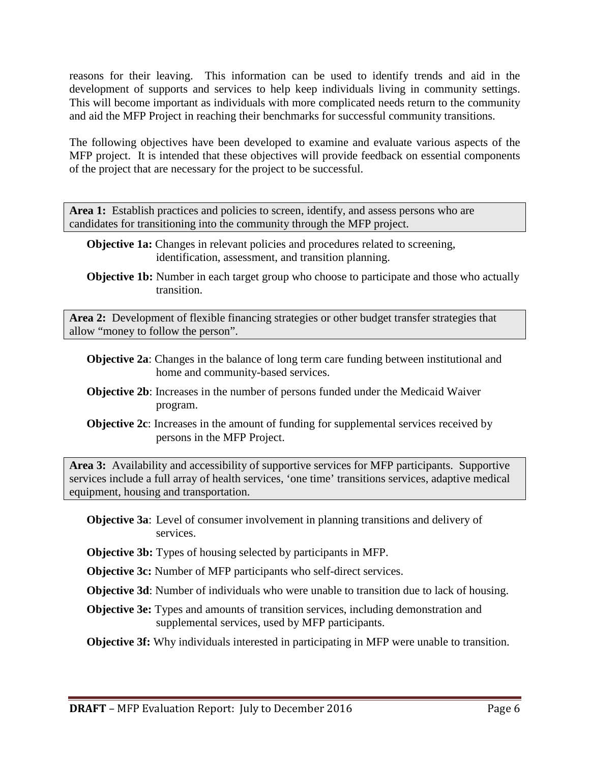reasons for their leaving. This information can be used to identify trends and aid in the development of supports and services to help keep individuals living in community settings. This will become important as individuals with more complicated needs return to the community and aid the MFP Project in reaching their benchmarks for successful community transitions.

The following objectives have been developed to examine and evaluate various aspects of the MFP project. It is intended that these objectives will provide feedback on essential components of the project that are necessary for the project to be successful.

Area 1: Establish practices and policies to screen, identify, and assess persons who are candidates for transitioning into the community through the MFP project.

- **Objective 1a:** Changes in relevant policies and procedures related to screening, identification, assessment, and transition planning.
- **Objective 1b:** Number in each target group who choose to participate and those who actually transition.

**Area 2:** Development of flexible financing strategies or other budget transfer strategies that allow "money to follow the person".

- **Objective 2a**: Changes in the balance of long term care funding between institutional and home and community-based services.
- **Objective 2b**: Increases in the number of persons funded under the Medicaid Waiver program.
- **Objective 2c**: Increases in the amount of funding for supplemental services received by persons in the MFP Project.

**Area 3:** Availability and accessibility of supportive services for MFP participants. Supportive services include a full array of health services, 'one time' transitions services, adaptive medical equipment, housing and transportation.

- **Objective 3a**: Level of consumer involvement in planning transitions and delivery of services.
- **Objective 3b:** Types of housing selected by participants in MFP.

**Objective 3c:** Number of MFP participants who self-direct services.

**Objective 3d**: Number of individuals who were unable to transition due to lack of housing.

**Objective 3e:** Types and amounts of transition services, including demonstration and supplemental services, used by MFP participants.

**Objective 3f:** Why individuals interested in participating in MFP were unable to transition.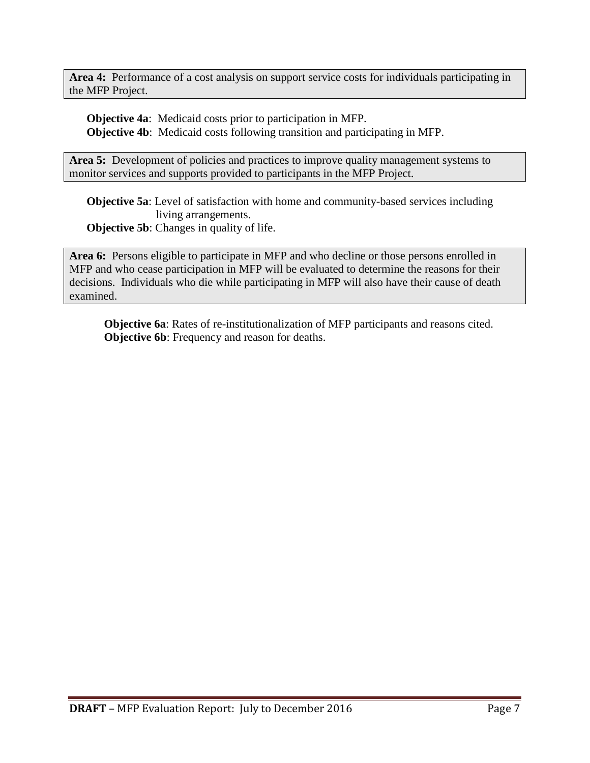**Area 4:** Performance of a cost analysis on support service costs for individuals participating in the MFP Project.

**Objective 4a**: Medicaid costs prior to participation in MFP. **Objective 4b**: Medicaid costs following transition and participating in MFP.

Area 5: Development of policies and practices to improve quality management systems to monitor services and supports provided to participants in the MFP Project.

**Objective 5a**: Level of satisfaction with home and community-based services including living arrangements.

**Objective 5b:** Changes in quality of life.

**Area 6:** Persons eligible to participate in MFP and who decline or those persons enrolled in MFP and who cease participation in MFP will be evaluated to determine the reasons for their decisions. Individuals who die while participating in MFP will also have their cause of death examined.

**Objective 6a**: Rates of re-institutionalization of MFP participants and reasons cited. **Objective 6b**: Frequency and reason for deaths.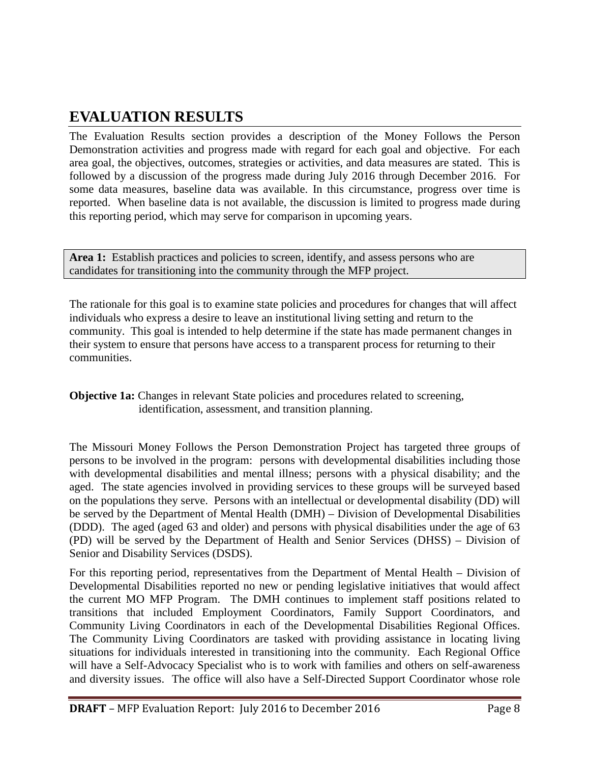## **EVALUATION RESULTS**

The Evaluation Results section provides a description of the Money Follows the Person Demonstration activities and progress made with regard for each goal and objective. For each area goal, the objectives, outcomes, strategies or activities, and data measures are stated. This is followed by a discussion of the progress made during July 2016 through December 2016. For some data measures, baseline data was available. In this circumstance, progress over time is reported. When baseline data is not available, the discussion is limited to progress made during this reporting period, which may serve for comparison in upcoming years.

Area 1: Establish practices and policies to screen, identify, and assess persons who are candidates for transitioning into the community through the MFP project.

The rationale for this goal is to examine state policies and procedures for changes that will affect individuals who express a desire to leave an institutional living setting and return to the community. This goal is intended to help determine if the state has made permanent changes in their system to ensure that persons have access to a transparent process for returning to their communities.

**Objective 1a:** Changes in relevant State policies and procedures related to screening, identification, assessment, and transition planning.

The Missouri Money Follows the Person Demonstration Project has targeted three groups of persons to be involved in the program: persons with developmental disabilities including those with developmental disabilities and mental illness; persons with a physical disability; and the aged. The state agencies involved in providing services to these groups will be surveyed based on the populations they serve. Persons with an intellectual or developmental disability (DD) will be served by the Department of Mental Health (DMH) – Division of Developmental Disabilities (DDD). The aged (aged 63 and older) and persons with physical disabilities under the age of 63 (PD) will be served by the Department of Health and Senior Services (DHSS) – Division of Senior and Disability Services (DSDS).

For this reporting period, representatives from the Department of Mental Health – Division of Developmental Disabilities reported no new or pending legislative initiatives that would affect the current MO MFP Program. The DMH continues to implement staff positions related to transitions that included Employment Coordinators, Family Support Coordinators, and Community Living Coordinators in each of the Developmental Disabilities Regional Offices. The Community Living Coordinators are tasked with providing assistance in locating living situations for individuals interested in transitioning into the community. Each Regional Office will have a Self-Advocacy Specialist who is to work with families and others on self-awareness and diversity issues. The office will also have a Self-Directed Support Coordinator whose role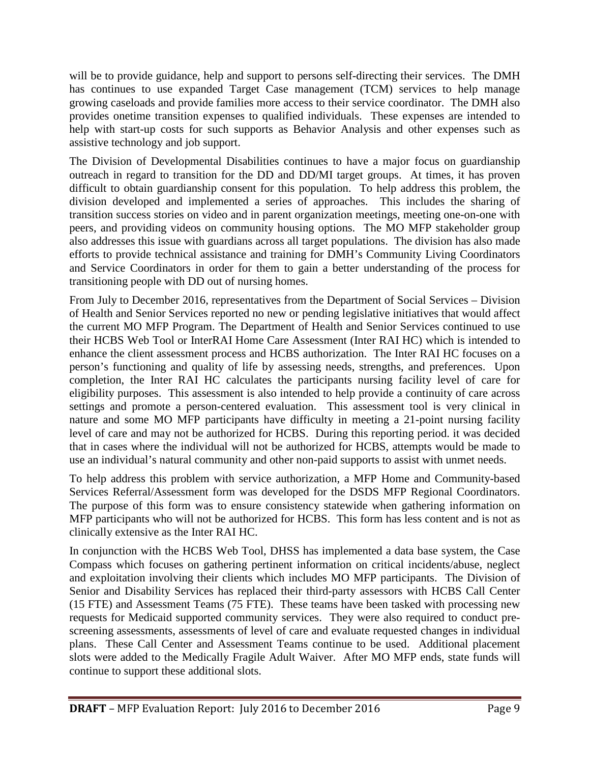will be to provide guidance, help and support to persons self-directing their services. The DMH has continues to use expanded Target Case management (TCM) services to help manage growing caseloads and provide families more access to their service coordinator. The DMH also provides onetime transition expenses to qualified individuals. These expenses are intended to help with start-up costs for such supports as Behavior Analysis and other expenses such as assistive technology and job support.

The Division of Developmental Disabilities continues to have a major focus on guardianship outreach in regard to transition for the DD and DD/MI target groups. At times, it has proven difficult to obtain guardianship consent for this population. To help address this problem, the division developed and implemented a series of approaches. This includes the sharing of transition success stories on video and in parent organization meetings, meeting one-on-one with peers, and providing videos on community housing options. The MO MFP stakeholder group also addresses this issue with guardians across all target populations. The division has also made efforts to provide technical assistance and training for DMH's Community Living Coordinators and Service Coordinators in order for them to gain a better understanding of the process for transitioning people with DD out of nursing homes.

From July to December 2016, representatives from the Department of Social Services – Division of Health and Senior Services reported no new or pending legislative initiatives that would affect the current MO MFP Program. The Department of Health and Senior Services continued to use their HCBS Web Tool or InterRAI Home Care Assessment (Inter RAI HC) which is intended to enhance the client assessment process and HCBS authorization. The Inter RAI HC focuses on a person's functioning and quality of life by assessing needs, strengths, and preferences. Upon completion, the Inter RAI HC calculates the participants nursing facility level of care for eligibility purposes. This assessment is also intended to help provide a continuity of care across settings and promote a person-centered evaluation. This assessment tool is very clinical in nature and some MO MFP participants have difficulty in meeting a 21-point nursing facility level of care and may not be authorized for HCBS. During this reporting period. it was decided that in cases where the individual will not be authorized for HCBS, attempts would be made to use an individual's natural community and other non-paid supports to assist with unmet needs.

To help address this problem with service authorization, a MFP Home and Community-based Services Referral/Assessment form was developed for the DSDS MFP Regional Coordinators. The purpose of this form was to ensure consistency statewide when gathering information on MFP participants who will not be authorized for HCBS. This form has less content and is not as clinically extensive as the Inter RAI HC.

In conjunction with the HCBS Web Tool, DHSS has implemented a data base system, the Case Compass which focuses on gathering pertinent information on critical incidents/abuse, neglect and exploitation involving their clients which includes MO MFP participants. The Division of Senior and Disability Services has replaced their third-party assessors with HCBS Call Center (15 FTE) and Assessment Teams (75 FTE). These teams have been tasked with processing new requests for Medicaid supported community services. They were also required to conduct prescreening assessments, assessments of level of care and evaluate requested changes in individual plans. These Call Center and Assessment Teams continue to be used. Additional placement slots were added to the Medically Fragile Adult Waiver. After MO MFP ends, state funds will continue to support these additional slots.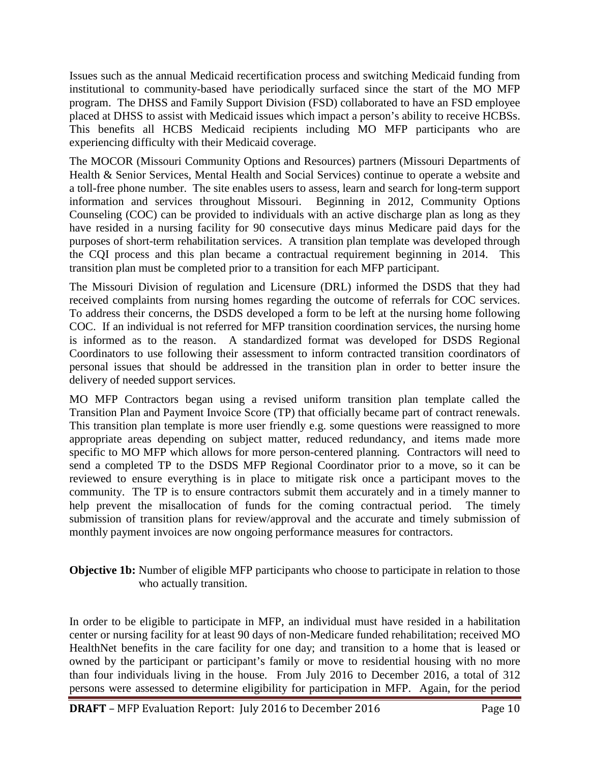Issues such as the annual Medicaid recertification process and switching Medicaid funding from institutional to community-based have periodically surfaced since the start of the MO MFP program. The DHSS and Family Support Division (FSD) collaborated to have an FSD employee placed at DHSS to assist with Medicaid issues which impact a person's ability to receive HCBSs. This benefits all HCBS Medicaid recipients including MO MFP participants who are experiencing difficulty with their Medicaid coverage.

The MOCOR (Missouri Community Options and Resources) partners (Missouri Departments of Health & Senior Services, Mental Health and Social Services) continue to operate a website and a toll-free phone number. The site enables users to assess, learn and search for long-term support information and services throughout Missouri. Beginning in 2012, Community Options Counseling (COC) can be provided to individuals with an active discharge plan as long as they have resided in a nursing facility for 90 consecutive days minus Medicare paid days for the purposes of short-term rehabilitation services. A transition plan template was developed through the CQI process and this plan became a contractual requirement beginning in 2014. This transition plan must be completed prior to a transition for each MFP participant.

The Missouri Division of regulation and Licensure (DRL) informed the DSDS that they had received complaints from nursing homes regarding the outcome of referrals for COC services. To address their concerns, the DSDS developed a form to be left at the nursing home following COC. If an individual is not referred for MFP transition coordination services, the nursing home is informed as to the reason. A standardized format was developed for DSDS Regional Coordinators to use following their assessment to inform contracted transition coordinators of personal issues that should be addressed in the transition plan in order to better insure the delivery of needed support services.

MO MFP Contractors began using a revised uniform transition plan template called the Transition Plan and Payment Invoice Score (TP) that officially became part of contract renewals. This transition plan template is more user friendly e.g. some questions were reassigned to more appropriate areas depending on subject matter, reduced redundancy, and items made more specific to MO MFP which allows for more person-centered planning. Contractors will need to send a completed TP to the DSDS MFP Regional Coordinator prior to a move, so it can be reviewed to ensure everything is in place to mitigate risk once a participant moves to the community. The TP is to ensure contractors submit them accurately and in a timely manner to help prevent the misallocation of funds for the coming contractual period. The timely submission of transition plans for review/approval and the accurate and timely submission of monthly payment invoices are now ongoing performance measures for contractors.

#### **Objective 1b:** Number of eligible MFP participants who choose to participate in relation to those who actually transition.

In order to be eligible to participate in MFP, an individual must have resided in a habilitation center or nursing facility for at least 90 days of non-Medicare funded rehabilitation; received MO HealthNet benefits in the care facility for one day; and transition to a home that is leased or owned by the participant or participant's family or move to residential housing with no more than four individuals living in the house. From July 2016 to December 2016, a total of 312 persons were assessed to determine eligibility for participation in MFP. Again, for the period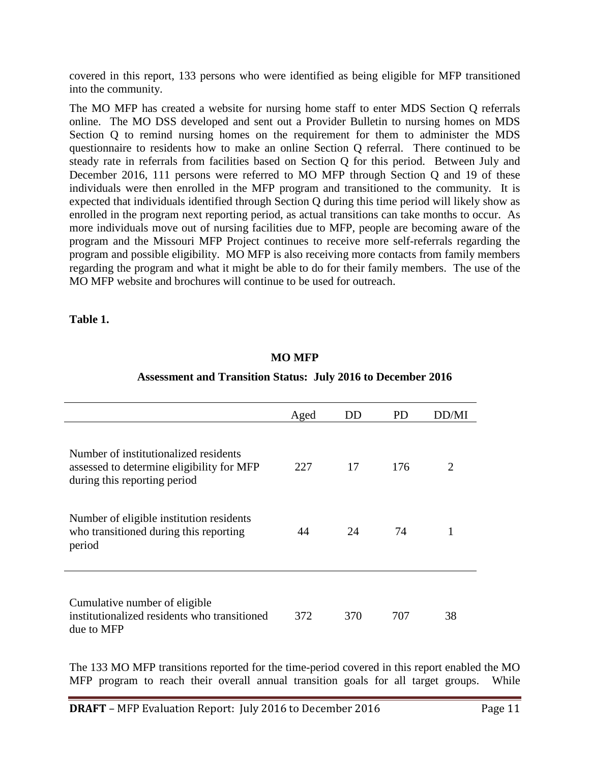covered in this report, 133 persons who were identified as being eligible for MFP transitioned into the community.

The MO MFP has created a website for nursing home staff to enter MDS Section Q referrals online. The MO DSS developed and sent out a Provider Bulletin to nursing homes on MDS Section Q to remind nursing homes on the requirement for them to administer the MDS questionnaire to residents how to make an online Section Q referral. There continued to be steady rate in referrals from facilities based on Section Q for this period. Between July and December 2016, 111 persons were referred to MO MFP through Section Q and 19 of these individuals were then enrolled in the MFP program and transitioned to the community. It is expected that individuals identified through Section Q during this time period will likely show as enrolled in the program next reporting period, as actual transitions can take months to occur. As more individuals move out of nursing facilities due to MFP, people are becoming aware of the program and the Missouri MFP Project continues to receive more self-referrals regarding the program and possible eligibility. MO MFP is also receiving more contacts from family members regarding the program and what it might be able to do for their family members. The use of the MO MFP website and brochures will continue to be used for outreach.

**Table 1.**

#### **MO MFP**

## **Assessment and Transition Status: July 2016 to December 2016**

|                                                                                                                    | Aged | DD  | PD. | DD/MI |
|--------------------------------------------------------------------------------------------------------------------|------|-----|-----|-------|
| Number of institutionalized residents<br>assessed to determine eligibility for MFP<br>during this reporting period | 227  | 17  | 176 | 2     |
| Number of eligible institution residents<br>who transitioned during this reporting<br>period                       | 44   | 24  | 74  |       |
| Cumulative number of eligible<br>institutionalized residents who transitioned<br>due to MFP                        | 372  | 370 | 707 | 38    |

The 133 MO MFP transitions reported for the time-period covered in this report enabled the MO MFP program to reach their overall annual transition goals for all target groups. While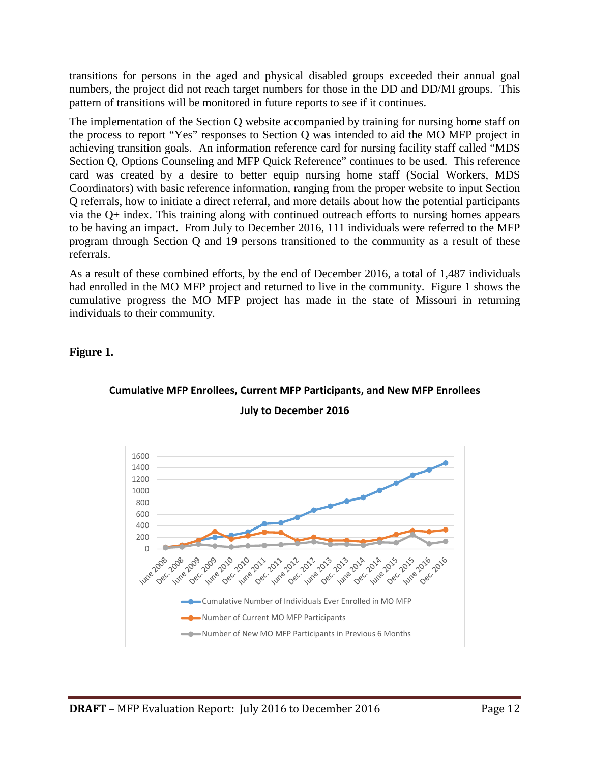transitions for persons in the aged and physical disabled groups exceeded their annual goal numbers, the project did not reach target numbers for those in the DD and DD/MI groups. This pattern of transitions will be monitored in future reports to see if it continues.

The implementation of the Section Q website accompanied by training for nursing home staff on the process to report "Yes" responses to Section Q was intended to aid the MO MFP project in achieving transition goals. An information reference card for nursing facility staff called "MDS Section Q, Options Counseling and MFP Quick Reference" continues to be used. This reference card was created by a desire to better equip nursing home staff (Social Workers, MDS Coordinators) with basic reference information, ranging from the proper website to input Section Q referrals, how to initiate a direct referral, and more details about how the potential participants via the Q+ index. This training along with continued outreach efforts to nursing homes appears to be having an impact. From July to December 2016, 111 individuals were referred to the MFP program through Section Q and 19 persons transitioned to the community as a result of these referrals.

As a result of these combined efforts, by the end of December 2016, a total of 1,487 individuals had enrolled in the MO MFP project and returned to live in the community. Figure 1 shows the cumulative progress the MO MFP project has made in the state of Missouri in returning individuals to their community.

**Figure 1.**



#### **Cumulative MFP Enrollees, Current MFP Participants, and New MFP Enrollees July to December 2016**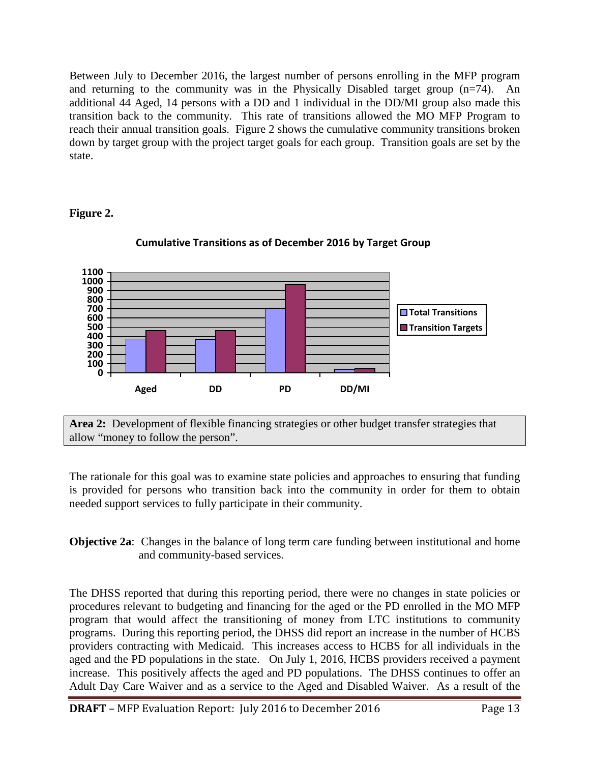Between July to December 2016, the largest number of persons enrolling in the MFP program and returning to the community was in the Physically Disabled target group (n=74). An additional 44 Aged, 14 persons with a DD and 1 individual in the DD/MI group also made this transition back to the community. This rate of transitions allowed the MO MFP Program to reach their annual transition goals. Figure 2 shows the cumulative community transitions broken down by target group with the project target goals for each group. Transition goals are set by the state.

#### **Figure 2.**



#### **Cumulative Transitions as of December 2016 by Target Group**

**Area 2:** Development of flexible financing strategies or other budget transfer strategies that allow "money to follow the person".

The rationale for this goal was to examine state policies and approaches to ensuring that funding is provided for persons who transition back into the community in order for them to obtain needed support services to fully participate in their community.

**Objective 2a**: Changes in the balance of long term care funding between institutional and home and community-based services.

The DHSS reported that during this reporting period, there were no changes in state policies or procedures relevant to budgeting and financing for the aged or the PD enrolled in the MO MFP program that would affect the transitioning of money from LTC institutions to community programs. During this reporting period, the DHSS did report an increase in the number of HCBS providers contracting with Medicaid. This increases access to HCBS for all individuals in the aged and the PD populations in the state. On July 1, 2016, HCBS providers received a payment increase. This positively affects the aged and PD populations. The DHSS continues to offer an Adult Day Care Waiver and as a service to the Aged and Disabled Waiver. As a result of the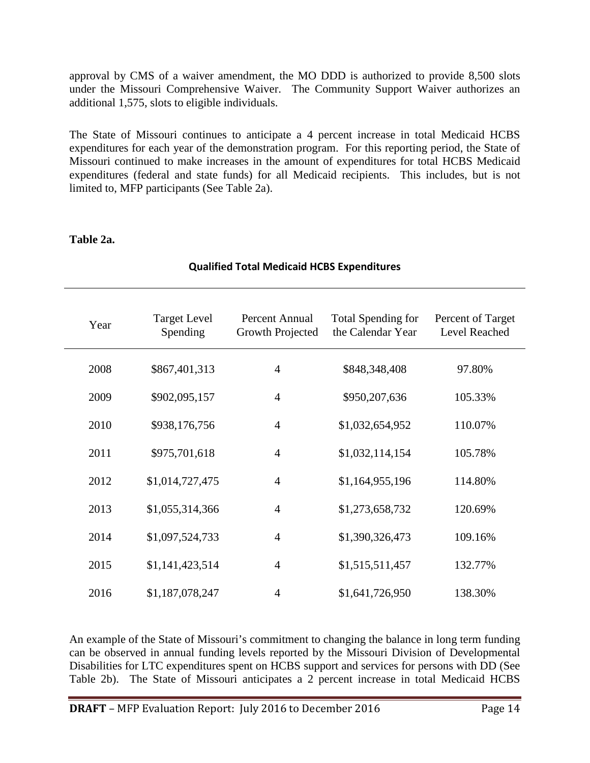approval by CMS of a waiver amendment, the MO DDD is authorized to provide 8,500 slots under the Missouri Comprehensive Waiver. The Community Support Waiver authorizes an additional 1,575, slots to eligible individuals.

The State of Missouri continues to anticipate a 4 percent increase in total Medicaid HCBS expenditures for each year of the demonstration program. For this reporting period, the State of Missouri continued to make increases in the amount of expenditures for total HCBS Medicaid expenditures (federal and state funds) for all Medicaid recipients. This includes, but is not limited to, MFP participants (See Table 2a).

#### **Table 2a.**

| Year | <b>Target Level</b><br>Spending | Percent Annual<br>Growth Projected | Total Spending for<br>the Calendar Year | Percent of Target<br>Level Reached |
|------|---------------------------------|------------------------------------|-----------------------------------------|------------------------------------|
| 2008 | \$867,401,313                   | $\overline{4}$                     | \$848,348,408                           | 97.80%                             |
| 2009 | \$902,095,157                   | 4                                  | \$950,207,636                           | 105.33%                            |
| 2010 | \$938,176,756                   | 4                                  | \$1,032,654,952                         | 110.07%                            |
| 2011 | \$975,701,618                   | 4                                  | \$1,032,114,154                         | 105.78%                            |
| 2012 | \$1,014,727,475                 | $\overline{4}$                     | \$1,164,955,196                         | 114.80%                            |
| 2013 | \$1,055,314,366                 | 4                                  | \$1,273,658,732                         | 120.69%                            |
| 2014 | \$1,097,524,733                 | 4                                  | \$1,390,326,473                         | 109.16%                            |
| 2015 | \$1,141,423,514                 | 4                                  | \$1,515,511,457                         | 132.77%                            |
| 2016 | \$1,187,078,247                 | $\overline{4}$                     | \$1,641,726,950                         | 138.30%                            |

#### **Qualified Total Medicaid HCBS Expenditures**

An example of the State of Missouri's commitment to changing the balance in long term funding can be observed in annual funding levels reported by the Missouri Division of Developmental Disabilities for LTC expenditures spent on HCBS support and services for persons with DD (See Table 2b). The State of Missouri anticipates a 2 percent increase in total Medicaid HCBS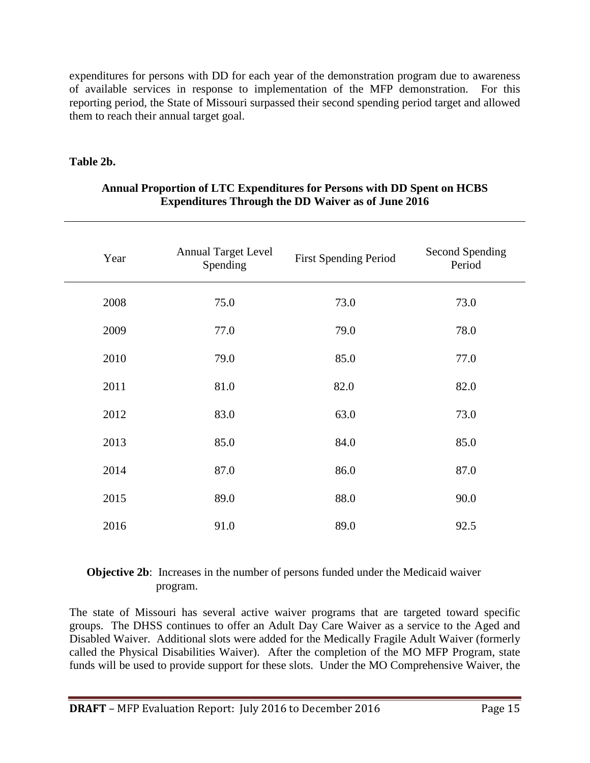expenditures for persons with DD for each year of the demonstration program due to awareness of available services in response to implementation of the MFP demonstration. For this reporting period, the State of Missouri surpassed their second spending period target and allowed them to reach their annual target goal.

#### **Table 2b.**

| Year | <b>Annual Target Level</b><br>Spending | <b>First Spending Period</b> | Second Spending<br>Period |
|------|----------------------------------------|------------------------------|---------------------------|
| 2008 | 75.0                                   | 73.0                         | 73.0                      |
| 2009 | 77.0                                   | 79.0                         | 78.0                      |
| 2010 | 79.0                                   | 85.0                         | 77.0                      |
| 2011 | 81.0                                   | 82.0                         | 82.0                      |
| 2012 | 83.0                                   | 63.0                         | 73.0                      |
| 2013 | 85.0                                   | 84.0                         | 85.0                      |
| 2014 | 87.0                                   | 86.0                         | 87.0                      |
| 2015 | 89.0                                   | 88.0                         | 90.0                      |
| 2016 | 91.0                                   | 89.0                         | 92.5                      |

#### **Annual Proportion of LTC Expenditures for Persons with DD Spent on HCBS Expenditures Through the DD Waiver as of June 2016**

#### **Objective 2b**: Increases in the number of persons funded under the Medicaid waiver program.

The state of Missouri has several active waiver programs that are targeted toward specific groups. The DHSS continues to offer an Adult Day Care Waiver as a service to the Aged and Disabled Waiver. Additional slots were added for the Medically Fragile Adult Waiver (formerly called the Physical Disabilities Waiver). After the completion of the MO MFP Program, state funds will be used to provide support for these slots. Under the MO Comprehensive Waiver, the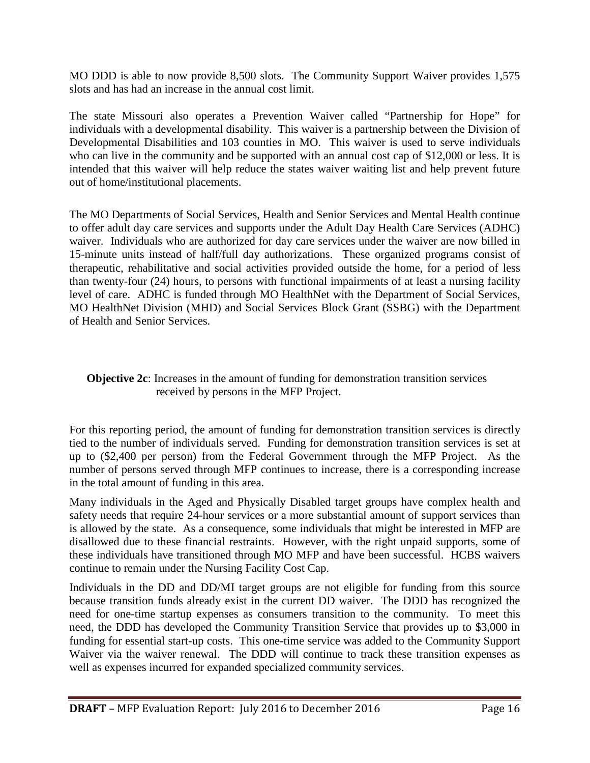MO DDD is able to now provide 8,500 slots. The Community Support Waiver provides 1,575 slots and has had an increase in the annual cost limit.

The state Missouri also operates a Prevention Waiver called "Partnership for Hope" for individuals with a developmental disability. This waiver is a partnership between the Division of Developmental Disabilities and 103 counties in MO. This waiver is used to serve individuals who can live in the community and be supported with an annual cost cap of \$12,000 or less. It is intended that this waiver will help reduce the states waiver waiting list and help prevent future out of home/institutional placements.

The MO Departments of Social Services, Health and Senior Services and Mental Health continue to offer adult day care services and supports under the Adult Day Health Care Services (ADHC) waiver. Individuals who are authorized for day care services under the waiver are now billed in 15-minute units instead of half/full day authorizations. These organized programs consist of therapeutic, rehabilitative and social activities provided outside the home, for a period of less than twenty-four (24) hours, to persons with functional impairments of at least a nursing facility level of care. ADHC is funded through MO HealthNet with the Department of Social Services, MO HealthNet Division (MHD) and Social Services Block Grant (SSBG) with the Department of Health and Senior Services.

#### **Objective 2c**: Increases in the amount of funding for demonstration transition services received by persons in the MFP Project.

For this reporting period, the amount of funding for demonstration transition services is directly tied to the number of individuals served. Funding for demonstration transition services is set at up to (\$2,400 per person) from the Federal Government through the MFP Project. As the number of persons served through MFP continues to increase, there is a corresponding increase in the total amount of funding in this area.

Many individuals in the Aged and Physically Disabled target groups have complex health and safety needs that require 24-hour services or a more substantial amount of support services than is allowed by the state. As a consequence, some individuals that might be interested in MFP are disallowed due to these financial restraints. However, with the right unpaid supports, some of these individuals have transitioned through MO MFP and have been successful. HCBS waivers continue to remain under the Nursing Facility Cost Cap.

Individuals in the DD and DD/MI target groups are not eligible for funding from this source because transition funds already exist in the current DD waiver. The DDD has recognized the need for one-time startup expenses as consumers transition to the community. To meet this need, the DDD has developed the Community Transition Service that provides up to \$3,000 in funding for essential start-up costs. This one-time service was added to the Community Support Waiver via the waiver renewal. The DDD will continue to track these transition expenses as well as expenses incurred for expanded specialized community services.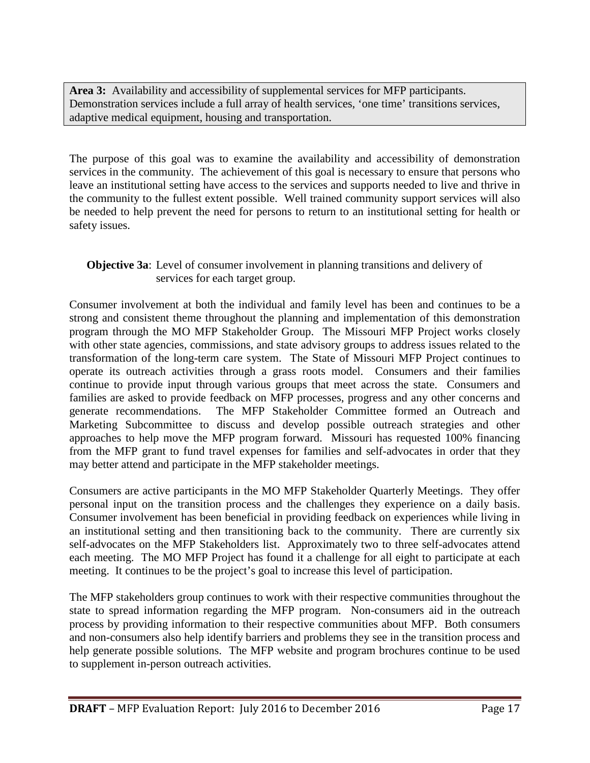**Area 3:** Availability and accessibility of supplemental services for MFP participants. Demonstration services include a full array of health services, 'one time' transitions services, adaptive medical equipment, housing and transportation.

The purpose of this goal was to examine the availability and accessibility of demonstration services in the community. The achievement of this goal is necessary to ensure that persons who leave an institutional setting have access to the services and supports needed to live and thrive in the community to the fullest extent possible. Well trained community support services will also be needed to help prevent the need for persons to return to an institutional setting for health or safety issues.

#### **Objective 3a**: Level of consumer involvement in planning transitions and delivery of services for each target group.

Consumer involvement at both the individual and family level has been and continues to be a strong and consistent theme throughout the planning and implementation of this demonstration program through the MO MFP Stakeholder Group. The Missouri MFP Project works closely with other state agencies, commissions, and state advisory groups to address issues related to the transformation of the long-term care system. The State of Missouri MFP Project continues to operate its outreach activities through a grass roots model. Consumers and their families continue to provide input through various groups that meet across the state. Consumers and families are asked to provide feedback on MFP processes, progress and any other concerns and generate recommendations. The MFP Stakeholder Committee formed an Outreach and Marketing Subcommittee to discuss and develop possible outreach strategies and other approaches to help move the MFP program forward. Missouri has requested 100% financing from the MFP grant to fund travel expenses for families and self-advocates in order that they may better attend and participate in the MFP stakeholder meetings.

Consumers are active participants in the MO MFP Stakeholder Quarterly Meetings. They offer personal input on the transition process and the challenges they experience on a daily basis. Consumer involvement has been beneficial in providing feedback on experiences while living in an institutional setting and then transitioning back to the community. There are currently six self-advocates on the MFP Stakeholders list. Approximately two to three self-advocates attend each meeting. The MO MFP Project has found it a challenge for all eight to participate at each meeting. It continues to be the project's goal to increase this level of participation.

The MFP stakeholders group continues to work with their respective communities throughout the state to spread information regarding the MFP program. Non-consumers aid in the outreach process by providing information to their respective communities about MFP. Both consumers and non-consumers also help identify barriers and problems they see in the transition process and help generate possible solutions. The MFP website and program brochures continue to be used to supplement in-person outreach activities.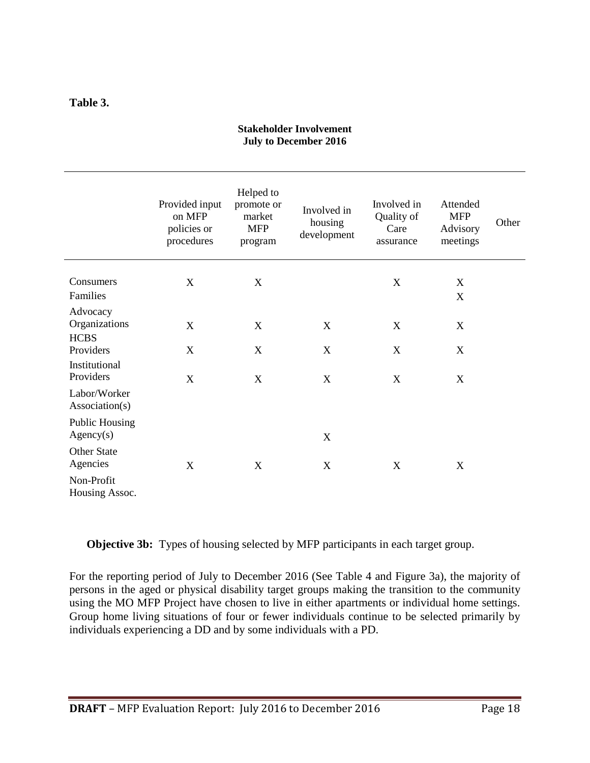#### **Table 3.**

#### **Stakeholder Involvement July to December 2016**

|                                          | Provided input<br>on MFP<br>policies or<br>procedures | Helped to<br>promote or<br>market<br><b>MFP</b><br>program | Involved in<br>housing<br>development | Involved in<br>Quality of<br>Care<br>assurance | Attended<br><b>MFP</b><br>Advisory<br>meetings | Other |
|------------------------------------------|-------------------------------------------------------|------------------------------------------------------------|---------------------------------------|------------------------------------------------|------------------------------------------------|-------|
| Consumers<br>Families                    | $\mathbf X$                                           | X                                                          |                                       | $\mathbf X$                                    | X<br>X                                         |       |
| Advocacy<br>Organizations<br><b>HCBS</b> | $\boldsymbol{X}$                                      | $\boldsymbol{\mathrm{X}}$                                  | $\mathbf X$                           | X                                              | X                                              |       |
| Providers<br>Institutional<br>Providers  | X<br>X                                                | X<br>X                                                     | X<br>X                                | X<br>X                                         | X<br>X                                         |       |
| Labor/Worker<br>Association(s)           |                                                       |                                                            |                                       |                                                |                                                |       |
| <b>Public Housing</b><br>Agency(s)       |                                                       |                                                            | X                                     |                                                |                                                |       |
| Other State<br>Agencies                  | X                                                     | X                                                          | X                                     | X                                              | X                                              |       |
| Non-Profit<br>Housing Assoc.             |                                                       |                                                            |                                       |                                                |                                                |       |

**Objective 3b:** Types of housing selected by MFP participants in each target group.

For the reporting period of July to December 2016 (See Table 4 and Figure 3a), the majority of persons in the aged or physical disability target groups making the transition to the community using the MO MFP Project have chosen to live in either apartments or individual home settings. Group home living situations of four or fewer individuals continue to be selected primarily by individuals experiencing a DD and by some individuals with a PD.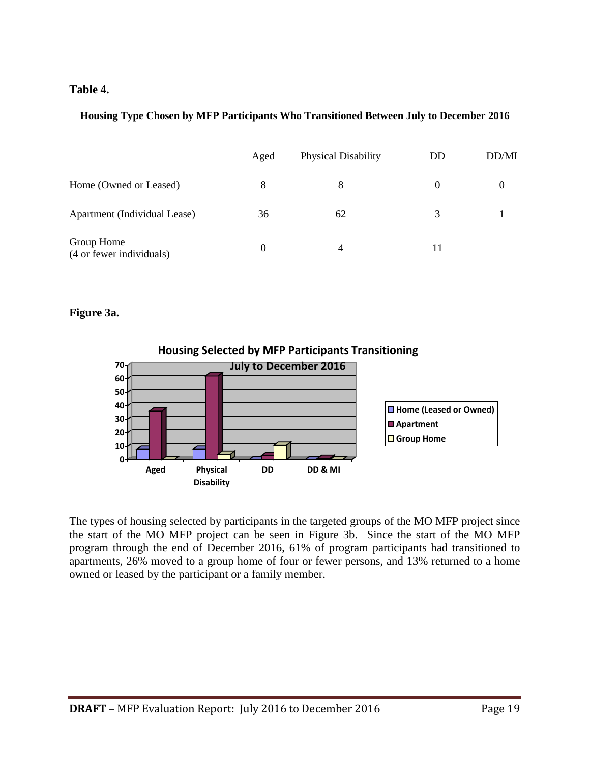#### **Table 4.**

#### **Housing Type Chosen by MFP Participants Who Transitioned Between July to December 2016**

|                                        | Aged | <b>Physical Disability</b> | DD       | DD/MI |
|----------------------------------------|------|----------------------------|----------|-------|
| Home (Owned or Leased)                 | 8    | 8                          | $\theta$ | O     |
| Apartment (Individual Lease)           | 36   | 62                         | 3        |       |
| Group Home<br>(4 or fewer individuals) | 0    | 4                          | 11       |       |

#### **Figure 3a.**



The types of housing selected by participants in the targeted groups of the MO MFP project since the start of the MO MFP project can be seen in Figure 3b. Since the start of the MO MFP program through the end of December 2016, 61% of program participants had transitioned to apartments, 26% moved to a group home of four or fewer persons, and 13% returned to a home owned or leased by the participant or a family member.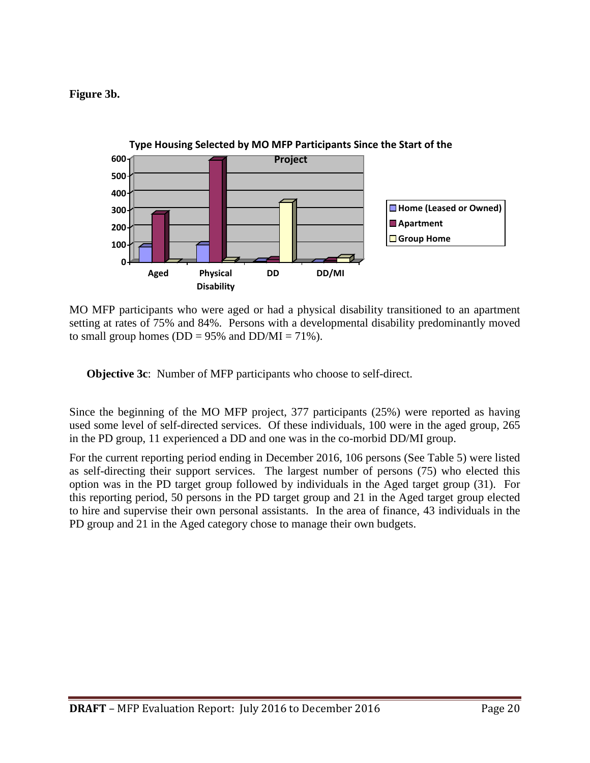**Figure 3b.**



MO MFP participants who were aged or had a physical disability transitioned to an apartment setting at rates of 75% and 84%. Persons with a developmental disability predominantly moved to small group homes ( $DD = 95\%$  and  $DD/MI = 71\%$ ).

**Objective 3c**: Number of MFP participants who choose to self-direct.

Since the beginning of the MO MFP project, 377 participants (25%) were reported as having used some level of self-directed services. Of these individuals, 100 were in the aged group, 265 in the PD group, 11 experienced a DD and one was in the co-morbid DD/MI group.

For the current reporting period ending in December 2016, 106 persons (See Table 5) were listed as self-directing their support services. The largest number of persons (75) who elected this option was in the PD target group followed by individuals in the Aged target group (31). For this reporting period, 50 persons in the PD target group and 21 in the Aged target group elected to hire and supervise their own personal assistants. In the area of finance, 43 individuals in the PD group and 21 in the Aged category chose to manage their own budgets.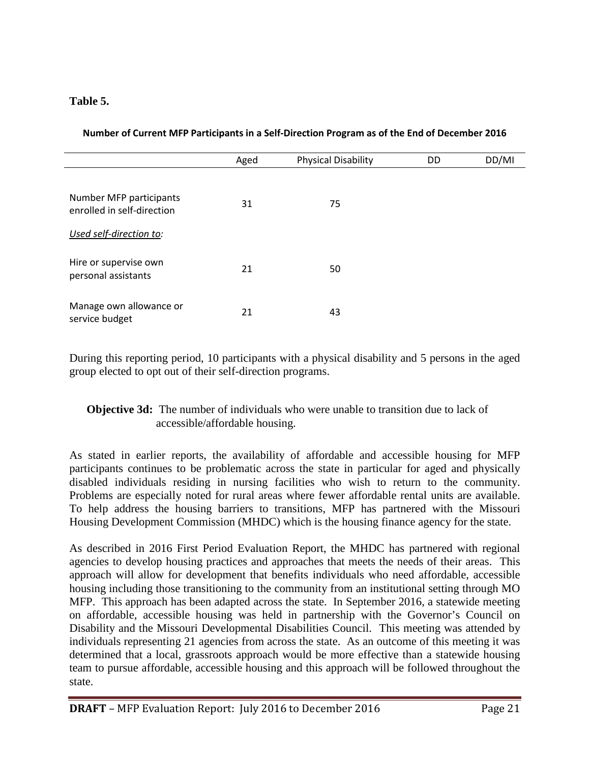#### **Table 5.**

|  | Number of Current MFP Participants in a Self-Direction Program as of the End of December 2016 |  |
|--|-----------------------------------------------------------------------------------------------|--|
|  |                                                                                               |  |

|                                                       | Aged | <b>Physical Disability</b> | DD | DD/MI |
|-------------------------------------------------------|------|----------------------------|----|-------|
| Number MFP participants<br>enrolled in self-direction | 31   | 75                         |    |       |
| Used self-direction to:                               |      |                            |    |       |
| Hire or supervise own<br>personal assistants          | 21   | 50                         |    |       |
| Manage own allowance or<br>service budget             | 21   | 43                         |    |       |

During this reporting period, 10 participants with a physical disability and 5 persons in the aged group elected to opt out of their self-direction programs.

#### **Objective 3d:** The number of individuals who were unable to transition due to lack of accessible/affordable housing.

As stated in earlier reports, the availability of affordable and accessible housing for MFP participants continues to be problematic across the state in particular for aged and physically disabled individuals residing in nursing facilities who wish to return to the community. Problems are especially noted for rural areas where fewer affordable rental units are available. To help address the housing barriers to transitions, MFP has partnered with the Missouri Housing Development Commission (MHDC) which is the housing finance agency for the state.

As described in 2016 First Period Evaluation Report, the MHDC has partnered with regional agencies to develop housing practices and approaches that meets the needs of their areas. This approach will allow for development that benefits individuals who need affordable, accessible housing including those transitioning to the community from an institutional setting through MO MFP. This approach has been adapted across the state. In September 2016, a statewide meeting on affordable, accessible housing was held in partnership with the Governor's Council on Disability and the Missouri Developmental Disabilities Council. This meeting was attended by individuals representing 21 agencies from across the state. As an outcome of this meeting it was determined that a local, grassroots approach would be more effective than a statewide housing team to pursue affordable, accessible housing and this approach will be followed throughout the state.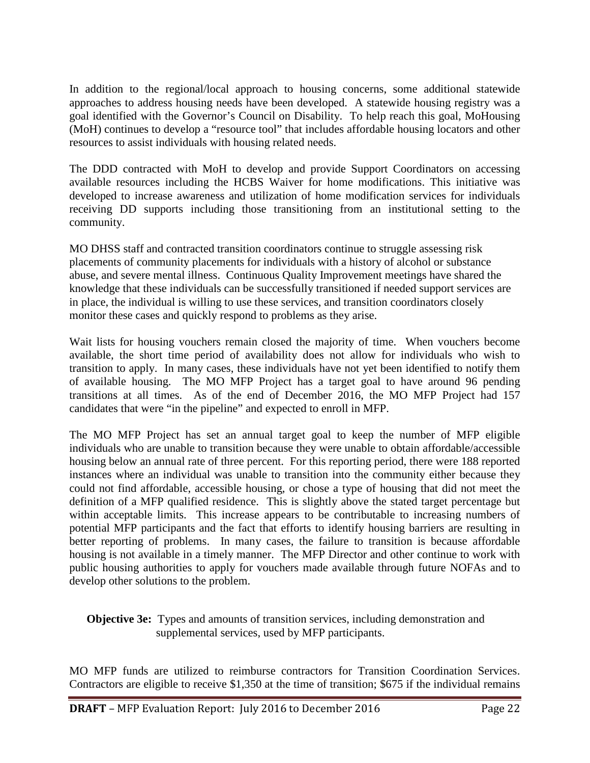In addition to the regional/local approach to housing concerns, some additional statewide approaches to address housing needs have been developed. A statewide housing registry was a goal identified with the Governor's Council on Disability. To help reach this goal, MoHousing (MoH) continues to develop a "resource tool" that includes affordable housing locators and other resources to assist individuals with housing related needs.

The DDD contracted with MoH to develop and provide Support Coordinators on accessing available resources including the HCBS Waiver for home modifications. This initiative was developed to increase awareness and utilization of home modification services for individuals receiving DD supports including those transitioning from an institutional setting to the community.

MO DHSS staff and contracted transition coordinators continue to struggle assessing risk placements of community placements for individuals with a history of alcohol or substance abuse, and severe mental illness. Continuous Quality Improvement meetings have shared the knowledge that these individuals can be successfully transitioned if needed support services are in place, the individual is willing to use these services, and transition coordinators closely monitor these cases and quickly respond to problems as they arise.

Wait lists for housing vouchers remain closed the majority of time. When vouchers become available, the short time period of availability does not allow for individuals who wish to transition to apply. In many cases, these individuals have not yet been identified to notify them of available housing. The MO MFP Project has a target goal to have around 96 pending transitions at all times. As of the end of December 2016, the MO MFP Project had 157 candidates that were "in the pipeline" and expected to enroll in MFP.

The MO MFP Project has set an annual target goal to keep the number of MFP eligible individuals who are unable to transition because they were unable to obtain affordable/accessible housing below an annual rate of three percent. For this reporting period, there were 188 reported instances where an individual was unable to transition into the community either because they could not find affordable, accessible housing, or chose a type of housing that did not meet the definition of a MFP qualified residence. This is slightly above the stated target percentage but within acceptable limits. This increase appears to be contributable to increasing numbers of potential MFP participants and the fact that efforts to identify housing barriers are resulting in better reporting of problems. In many cases, the failure to transition is because affordable housing is not available in a timely manner. The MFP Director and other continue to work with public housing authorities to apply for vouchers made available through future NOFAs and to develop other solutions to the problem.

**Objective 3e:** Types and amounts of transition services, including demonstration and supplemental services, used by MFP participants.

MO MFP funds are utilized to reimburse contractors for Transition Coordination Services. Contractors are eligible to receive \$1,350 at the time of transition; \$675 if the individual remains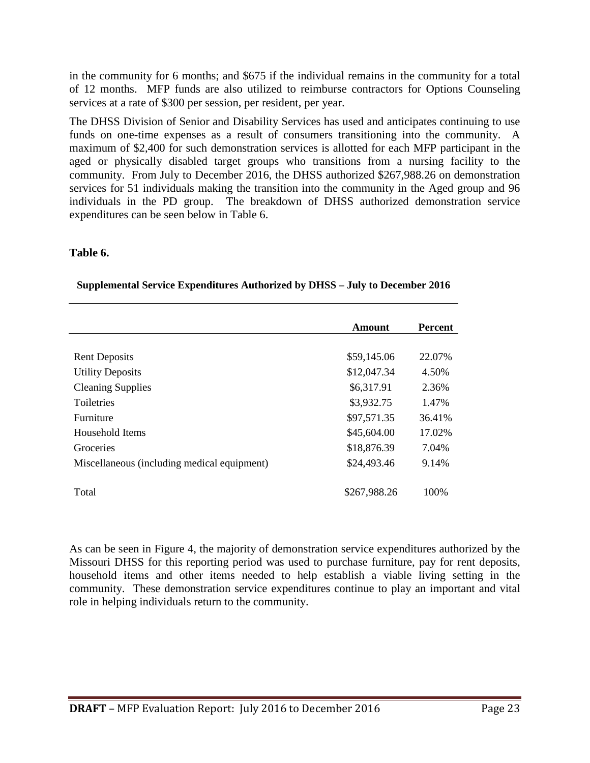in the community for 6 months; and \$675 if the individual remains in the community for a total of 12 months. MFP funds are also utilized to reimburse contractors for Options Counseling services at a rate of \$300 per session, per resident, per year.

The DHSS Division of Senior and Disability Services has used and anticipates continuing to use funds on one-time expenses as a result of consumers transitioning into the community. A maximum of \$2,400 for such demonstration services is allotted for each MFP participant in the aged or physically disabled target groups who transitions from a nursing facility to the community. From July to December 2016, the DHSS authorized \$267,988.26 on demonstration services for 51 individuals making the transition into the community in the Aged group and 96 individuals in the PD group. The breakdown of DHSS authorized demonstration service expenditures can be seen below in Table 6.

#### **Table 6.**

|  | <b>Supplemental Service Expenditures Authorized by DHSS - July to December 2016</b> |
|--|-------------------------------------------------------------------------------------|
|  |                                                                                     |

|                                             | Amount       | <b>Percent</b> |
|---------------------------------------------|--------------|----------------|
|                                             |              |                |
| <b>Rent Deposits</b>                        | \$59,145.06  | 22.07%         |
| <b>Utility Deposits</b>                     | \$12,047.34  | 4.50%          |
| <b>Cleaning Supplies</b>                    | \$6,317.91   | 2.36%          |
| <b>Toiletries</b>                           | \$3,932.75   | 1.47%          |
| <b>Furniture</b>                            | \$97,571.35  | 36.41%         |
| Household Items                             | \$45,604.00  | 17.02%         |
| Groceries                                   | \$18,876.39  | 7.04%          |
| Miscellaneous (including medical equipment) | \$24,493.46  | 9.14%          |
|                                             |              |                |
| Total                                       | \$267,988.26 | 100\%          |
|                                             |              |                |

As can be seen in Figure 4, the majority of demonstration service expenditures authorized by the Missouri DHSS for this reporting period was used to purchase furniture, pay for rent deposits, household items and other items needed to help establish a viable living setting in the community. These demonstration service expenditures continue to play an important and vital role in helping individuals return to the community.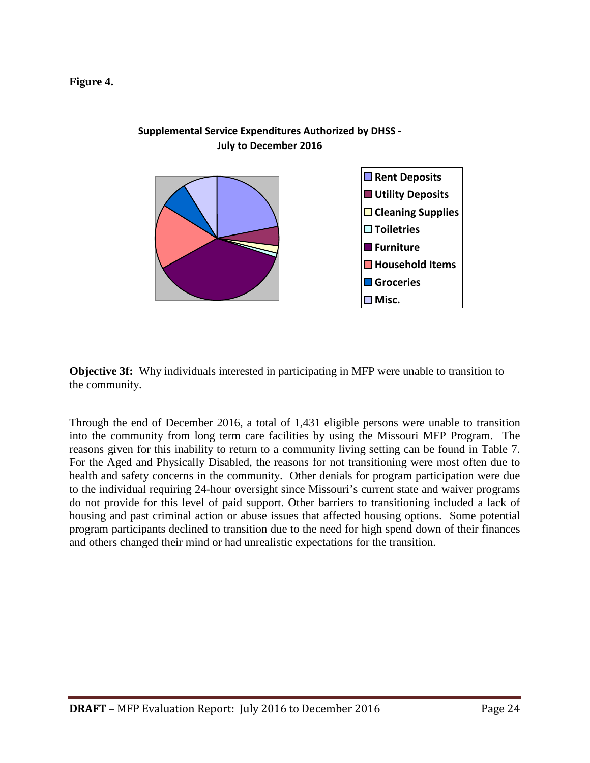#### **Figure 4.**



#### **Supplemental Service Expenditures Authorized by DHSS - July to December 2016**

**Objective 3f:** Why individuals interested in participating in MFP were unable to transition to the community.

Through the end of December 2016, a total of 1,431 eligible persons were unable to transition into the community from long term care facilities by using the Missouri MFP Program. The reasons given for this inability to return to a community living setting can be found in Table 7. For the Aged and Physically Disabled, the reasons for not transitioning were most often due to health and safety concerns in the community. Other denials for program participation were due to the individual requiring 24-hour oversight since Missouri's current state and waiver programs do not provide for this level of paid support. Other barriers to transitioning included a lack of housing and past criminal action or abuse issues that affected housing options. Some potential program participants declined to transition due to the need for high spend down of their finances and others changed their mind or had unrealistic expectations for the transition.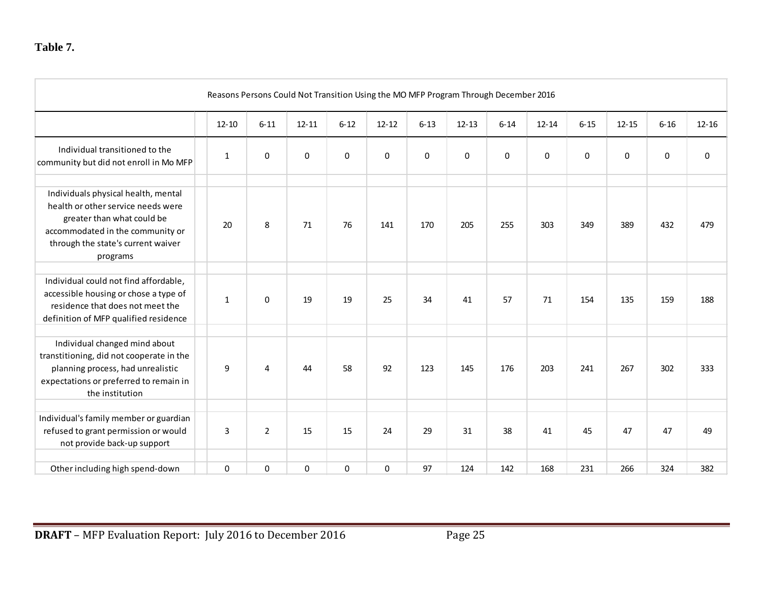|                                                                                                                                                                                               | Reasons Persons Could Not Transition Using the MO MFP Program Through December 2016 |                |             |              |           |          |             |             |             |             |             |          |           |
|-----------------------------------------------------------------------------------------------------------------------------------------------------------------------------------------------|-------------------------------------------------------------------------------------|----------------|-------------|--------------|-----------|----------|-------------|-------------|-------------|-------------|-------------|----------|-----------|
|                                                                                                                                                                                               | $12 - 10$                                                                           | $6 - 11$       | $12 - 11$   | $6 - 12$     | $12 - 12$ | $6 - 13$ | $12 - 13$   | $6 - 14$    | $12 - 14$   | $6 - 15$    | $12 - 15$   | $6 - 16$ | $12 - 16$ |
| Individual transitioned to the<br>community but did not enroll in Mo MFP                                                                                                                      | $\mathbf{1}$                                                                        | 0              | $\mathbf 0$ | $\mathbf{0}$ | 0         | 0        | $\mathbf 0$ | $\mathbf 0$ | $\mathbf 0$ | $\mathbf 0$ | $\mathbf 0$ | $\bf{0}$ | 0         |
| Individuals physical health, mental<br>health or other service needs were<br>greater than what could be<br>accommodated in the community or<br>through the state's current waiver<br>programs | 20                                                                                  | 8              | 71          | 76           | 141       | 170      | 205         | 255         | 303         | 349         | 389         | 432      | 479       |
| Individual could not find affordable,<br>accessible housing or chose a type of<br>residence that does not meet the<br>definition of MFP qualified residence                                   | $\mathbf{1}$                                                                        | 0              | 19          | 19           | 25        | 34       | 41          | 57          | 71          | 154         | 135         | 159      | 188       |
| Individual changed mind about<br>transtitioning, did not cooperate in the<br>planning process, had unrealistic<br>expectations or preferred to remain in<br>the institution                   | 9                                                                                   | 4              | 44          | 58           | 92        | 123      | 145         | 176         | 203         | 241         | 267         | 302      | 333       |
| Individual's family member or guardian<br>refused to grant permission or would<br>not provide back-up support                                                                                 | 3                                                                                   | $\overline{2}$ | 15          | 15           | 24        | 29       | 31          | 38          | 41          | 45          | 47          | 47       | 49        |
| Other including high spend-down                                                                                                                                                               | $\mathbf 0$                                                                         | 0              | 0           | $\pmb{0}$    | 0         | 97       | 124         | 142         | 168         | 231         | 266         | 324      | 382       |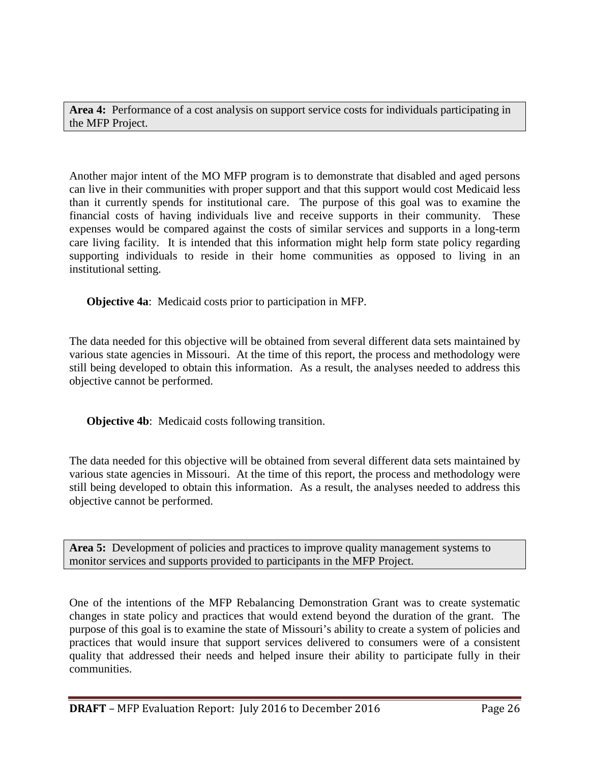**Area 4:** Performance of a cost analysis on support service costs for individuals participating in the MFP Project.

Another major intent of the MO MFP program is to demonstrate that disabled and aged persons can live in their communities with proper support and that this support would cost Medicaid less than it currently spends for institutional care. The purpose of this goal was to examine the financial costs of having individuals live and receive supports in their community. These expenses would be compared against the costs of similar services and supports in a long-term care living facility. It is intended that this information might help form state policy regarding supporting individuals to reside in their home communities as opposed to living in an institutional setting.

**Objective 4a**: Medicaid costs prior to participation in MFP.

The data needed for this objective will be obtained from several different data sets maintained by various state agencies in Missouri. At the time of this report, the process and methodology were still being developed to obtain this information. As a result, the analyses needed to address this objective cannot be performed.

**Objective 4b**: Medicaid costs following transition.

The data needed for this objective will be obtained from several different data sets maintained by various state agencies in Missouri. At the time of this report, the process and methodology were still being developed to obtain this information. As a result, the analyses needed to address this objective cannot be performed.

**Area 5:** Development of policies and practices to improve quality management systems to monitor services and supports provided to participants in the MFP Project.

One of the intentions of the MFP Rebalancing Demonstration Grant was to create systematic changes in state policy and practices that would extend beyond the duration of the grant. The purpose of this goal is to examine the state of Missouri's ability to create a system of policies and practices that would insure that support services delivered to consumers were of a consistent quality that addressed their needs and helped insure their ability to participate fully in their communities.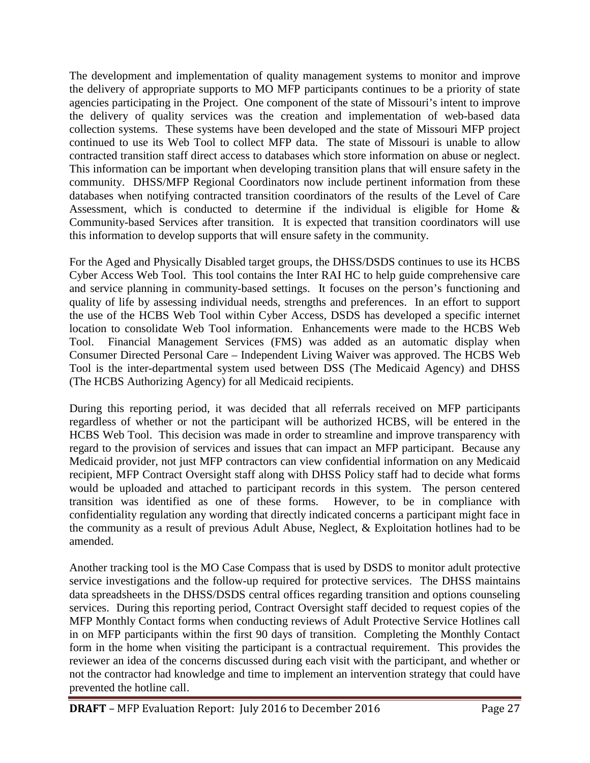The development and implementation of quality management systems to monitor and improve the delivery of appropriate supports to MO MFP participants continues to be a priority of state agencies participating in the Project. One component of the state of Missouri's intent to improve the delivery of quality services was the creation and implementation of web-based data collection systems. These systems have been developed and the state of Missouri MFP project continued to use its Web Tool to collect MFP data. The state of Missouri is unable to allow contracted transition staff direct access to databases which store information on abuse or neglect. This information can be important when developing transition plans that will ensure safety in the community. DHSS/MFP Regional Coordinators now include pertinent information from these databases when notifying contracted transition coordinators of the results of the Level of Care Assessment, which is conducted to determine if the individual is eligible for Home  $\&$ Community-based Services after transition. It is expected that transition coordinators will use this information to develop supports that will ensure safety in the community.

For the Aged and Physically Disabled target groups, the DHSS/DSDS continues to use its HCBS Cyber Access Web Tool. This tool contains the Inter RAI HC to help guide comprehensive care and service planning in community-based settings. It focuses on the person's functioning and quality of life by assessing individual needs, strengths and preferences. In an effort to support the use of the HCBS Web Tool within Cyber Access, DSDS has developed a specific internet location to consolidate Web Tool information. Enhancements were made to the HCBS Web Tool. Financial Management Services (FMS) was added as an automatic display when Consumer Directed Personal Care – Independent Living Waiver was approved. The HCBS Web Tool is the inter-departmental system used between DSS (The Medicaid Agency) and DHSS (The HCBS Authorizing Agency) for all Medicaid recipients.

During this reporting period, it was decided that all referrals received on MFP participants regardless of whether or not the participant will be authorized HCBS, will be entered in the HCBS Web Tool. This decision was made in order to streamline and improve transparency with regard to the provision of services and issues that can impact an MFP participant. Because any Medicaid provider, not just MFP contractors can view confidential information on any Medicaid recipient, MFP Contract Oversight staff along with DHSS Policy staff had to decide what forms would be uploaded and attached to participant records in this system. The person centered transition was identified as one of these forms. However, to be in compliance with confidentiality regulation any wording that directly indicated concerns a participant might face in the community as a result of previous Adult Abuse, Neglect, & Exploitation hotlines had to be amended.

Another tracking tool is the MO Case Compass that is used by DSDS to monitor adult protective service investigations and the follow-up required for protective services. The DHSS maintains data spreadsheets in the DHSS/DSDS central offices regarding transition and options counseling services. During this reporting period, Contract Oversight staff decided to request copies of the MFP Monthly Contact forms when conducting reviews of Adult Protective Service Hotlines call in on MFP participants within the first 90 days of transition. Completing the Monthly Contact form in the home when visiting the participant is a contractual requirement. This provides the reviewer an idea of the concerns discussed during each visit with the participant, and whether or not the contractor had knowledge and time to implement an intervention strategy that could have prevented the hotline call.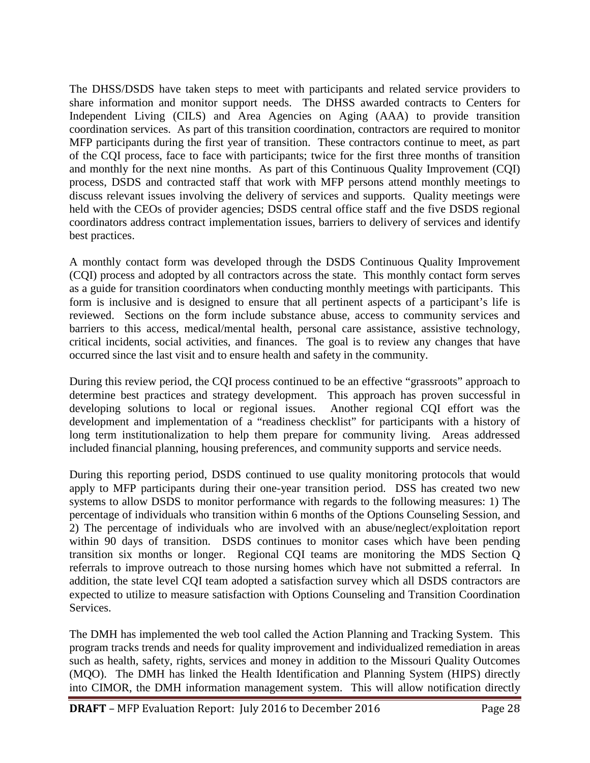The DHSS/DSDS have taken steps to meet with participants and related service providers to share information and monitor support needs. The DHSS awarded contracts to Centers for Independent Living (CILS) and Area Agencies on Aging (AAA) to provide transition coordination services. As part of this transition coordination, contractors are required to monitor MFP participants during the first year of transition. These contractors continue to meet, as part of the CQI process, face to face with participants; twice for the first three months of transition and monthly for the next nine months. As part of this Continuous Quality Improvement (CQI) process, DSDS and contracted staff that work with MFP persons attend monthly meetings to discuss relevant issues involving the delivery of services and supports. Quality meetings were held with the CEOs of provider agencies; DSDS central office staff and the five DSDS regional coordinators address contract implementation issues, barriers to delivery of services and identify best practices.

A monthly contact form was developed through the DSDS Continuous Quality Improvement (CQI) process and adopted by all contractors across the state. This monthly contact form serves as a guide for transition coordinators when conducting monthly meetings with participants. This form is inclusive and is designed to ensure that all pertinent aspects of a participant's life is reviewed. Sections on the form include substance abuse, access to community services and barriers to this access, medical/mental health, personal care assistance, assistive technology, critical incidents, social activities, and finances. The goal is to review any changes that have occurred since the last visit and to ensure health and safety in the community.

During this review period, the CQI process continued to be an effective "grassroots" approach to determine best practices and strategy development. This approach has proven successful in developing solutions to local or regional issues. Another regional CQI effort was the development and implementation of a "readiness checklist" for participants with a history of long term institutionalization to help them prepare for community living. Areas addressed included financial planning, housing preferences, and community supports and service needs.

During this reporting period, DSDS continued to use quality monitoring protocols that would apply to MFP participants during their one-year transition period. DSS has created two new systems to allow DSDS to monitor performance with regards to the following measures: 1) The percentage of individuals who transition within 6 months of the Options Counseling Session, and 2) The percentage of individuals who are involved with an abuse/neglect/exploitation report within 90 days of transition. DSDS continues to monitor cases which have been pending transition six months or longer. Regional CQI teams are monitoring the MDS Section Q referrals to improve outreach to those nursing homes which have not submitted a referral. In addition, the state level CQI team adopted a satisfaction survey which all DSDS contractors are expected to utilize to measure satisfaction with Options Counseling and Transition Coordination Services.

The DMH has implemented the web tool called the Action Planning and Tracking System. This program tracks trends and needs for quality improvement and individualized remediation in areas such as health, safety, rights, services and money in addition to the Missouri Quality Outcomes (MQO). The DMH has linked the Health Identification and Planning System (HIPS) directly into CIMOR, the DMH information management system. This will allow notification directly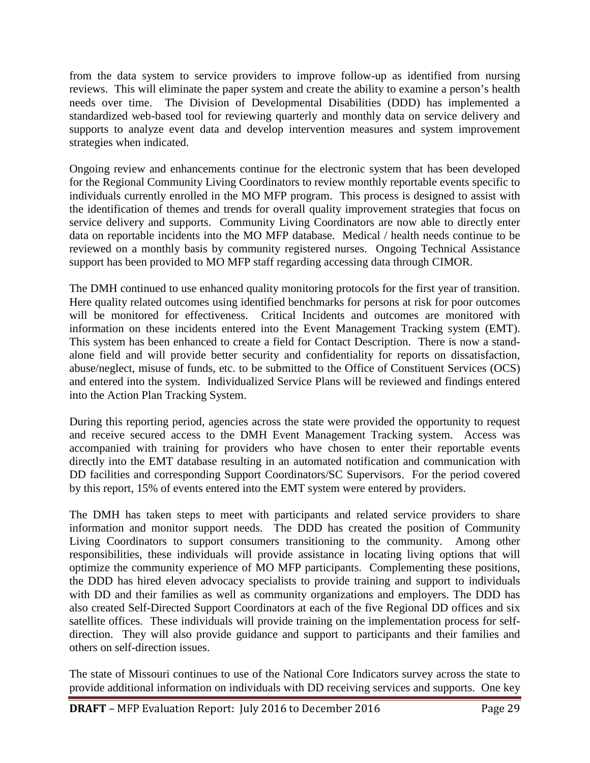from the data system to service providers to improve follow-up as identified from nursing reviews. This will eliminate the paper system and create the ability to examine a person's health needs over time. The Division of Developmental Disabilities (DDD) has implemented a standardized web-based tool for reviewing quarterly and monthly data on service delivery and supports to analyze event data and develop intervention measures and system improvement strategies when indicated.

Ongoing review and enhancements continue for the electronic system that has been developed for the Regional Community Living Coordinators to review monthly reportable events specific to individuals currently enrolled in the MO MFP program. This process is designed to assist with the identification of themes and trends for overall quality improvement strategies that focus on service delivery and supports. Community Living Coordinators are now able to directly enter data on reportable incidents into the MO MFP database. Medical / health needs continue to be reviewed on a monthly basis by community registered nurses. Ongoing Technical Assistance support has been provided to MO MFP staff regarding accessing data through CIMOR.

The DMH continued to use enhanced quality monitoring protocols for the first year of transition. Here quality related outcomes using identified benchmarks for persons at risk for poor outcomes will be monitored for effectiveness. Critical Incidents and outcomes are monitored with information on these incidents entered into the Event Management Tracking system (EMT). This system has been enhanced to create a field for Contact Description. There is now a standalone field and will provide better security and confidentiality for reports on dissatisfaction, abuse/neglect, misuse of funds, etc. to be submitted to the Office of Constituent Services (OCS) and entered into the system. Individualized Service Plans will be reviewed and findings entered into the Action Plan Tracking System.

During this reporting period, agencies across the state were provided the opportunity to request and receive secured access to the DMH Event Management Tracking system. Access was accompanied with training for providers who have chosen to enter their reportable events directly into the EMT database resulting in an automated notification and communication with DD facilities and corresponding Support Coordinators/SC Supervisors. For the period covered by this report, 15% of events entered into the EMT system were entered by providers.

The DMH has taken steps to meet with participants and related service providers to share information and monitor support needs. The DDD has created the position of Community Living Coordinators to support consumers transitioning to the community. Among other responsibilities, these individuals will provide assistance in locating living options that will optimize the community experience of MO MFP participants. Complementing these positions, the DDD has hired eleven advocacy specialists to provide training and support to individuals with DD and their families as well as community organizations and employers. The DDD has also created Self-Directed Support Coordinators at each of the five Regional DD offices and six satellite offices. These individuals will provide training on the implementation process for selfdirection. They will also provide guidance and support to participants and their families and others on self-direction issues.

The state of Missouri continues to use of the National Core Indicators survey across the state to provide additional information on individuals with DD receiving services and supports. One key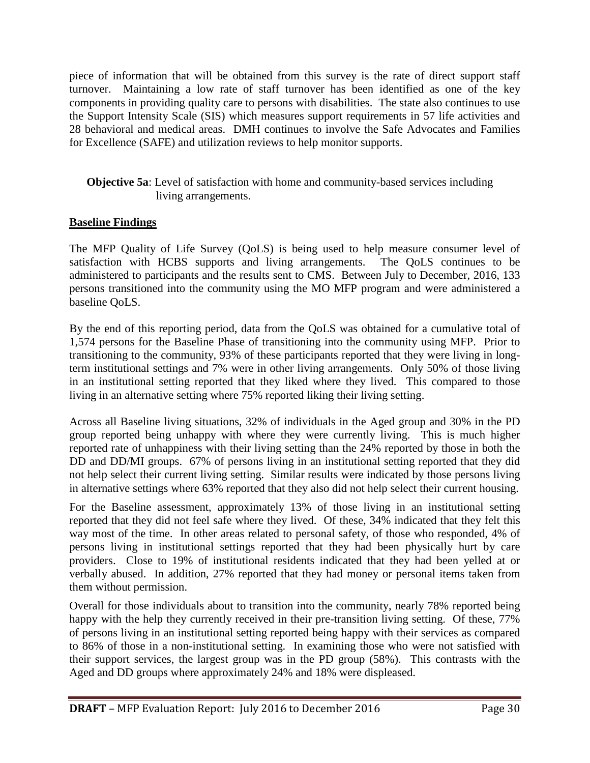piece of information that will be obtained from this survey is the rate of direct support staff turnover. Maintaining a low rate of staff turnover has been identified as one of the key components in providing quality care to persons with disabilities. The state also continues to use the Support Intensity Scale (SIS) which measures support requirements in 57 life activities and 28 behavioral and medical areas. DMH continues to involve the Safe Advocates and Families for Excellence (SAFE) and utilization reviews to help monitor supports.

#### **Objective 5a**: Level of satisfaction with home and community-based services including living arrangements.

#### **Baseline Findings**

The MFP Quality of Life Survey (QoLS) is being used to help measure consumer level of satisfaction with HCBS supports and living arrangements. The QoLS continues to be administered to participants and the results sent to CMS. Between July to December, 2016, 133 persons transitioned into the community using the MO MFP program and were administered a baseline QoLS.

By the end of this reporting period, data from the QoLS was obtained for a cumulative total of 1,574 persons for the Baseline Phase of transitioning into the community using MFP. Prior to transitioning to the community, 93% of these participants reported that they were living in longterm institutional settings and 7% were in other living arrangements. Only 50% of those living in an institutional setting reported that they liked where they lived. This compared to those living in an alternative setting where 75% reported liking their living setting.

Across all Baseline living situations, 32% of individuals in the Aged group and 30% in the PD group reported being unhappy with where they were currently living. This is much higher reported rate of unhappiness with their living setting than the 24% reported by those in both the DD and DD/MI groups. 67% of persons living in an institutional setting reported that they did not help select their current living setting. Similar results were indicated by those persons living in alternative settings where 63% reported that they also did not help select their current housing.

For the Baseline assessment, approximately 13% of those living in an institutional setting reported that they did not feel safe where they lived. Of these, 34% indicated that they felt this way most of the time. In other areas related to personal safety, of those who responded, 4% of persons living in institutional settings reported that they had been physically hurt by care providers. Close to 19% of institutional residents indicated that they had been yelled at or verbally abused. In addition, 27% reported that they had money or personal items taken from them without permission.

Overall for those individuals about to transition into the community, nearly 78% reported being happy with the help they currently received in their pre-transition living setting. Of these, 77% of persons living in an institutional setting reported being happy with their services as compared to 86% of those in a non-institutional setting. In examining those who were not satisfied with their support services, the largest group was in the PD group (58%). This contrasts with the Aged and DD groups where approximately 24% and 18% were displeased.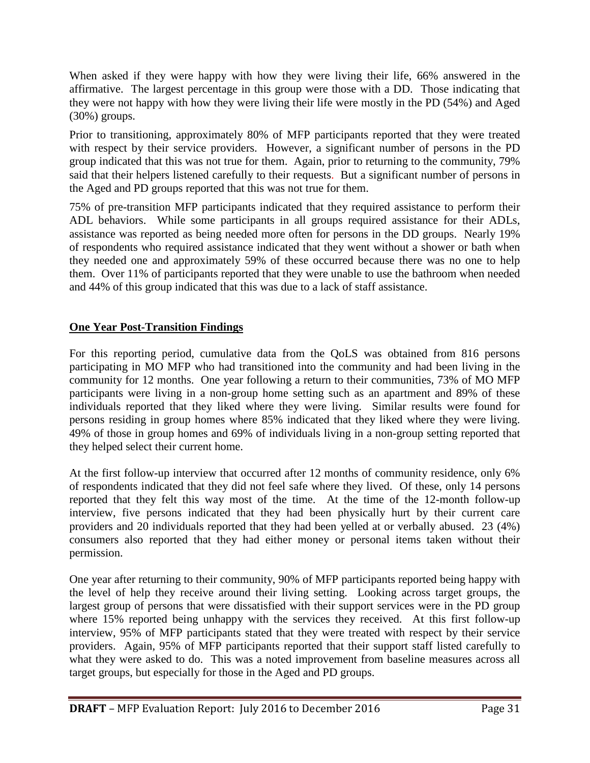When asked if they were happy with how they were living their life, 66% answered in the affirmative. The largest percentage in this group were those with a DD. Those indicating that they were not happy with how they were living their life were mostly in the PD (54%) and Aged (30%) groups.

Prior to transitioning, approximately 80% of MFP participants reported that they were treated with respect by their service providers. However, a significant number of persons in the PD group indicated that this was not true for them. Again, prior to returning to the community, 79% said that their helpers listened carefully to their requests. But a significant number of persons in the Aged and PD groups reported that this was not true for them.

75% of pre-transition MFP participants indicated that they required assistance to perform their ADL behaviors. While some participants in all groups required assistance for their ADLs, assistance was reported as being needed more often for persons in the DD groups. Nearly 19% of respondents who required assistance indicated that they went without a shower or bath when they needed one and approximately 59% of these occurred because there was no one to help them. Over 11% of participants reported that they were unable to use the bathroom when needed and 44% of this group indicated that this was due to a lack of staff assistance.

#### **One Year Post-Transition Findings**

For this reporting period, cumulative data from the QoLS was obtained from 816 persons participating in MO MFP who had transitioned into the community and had been living in the community for 12 months. One year following a return to their communities, 73% of MO MFP participants were living in a non-group home setting such as an apartment and 89% of these individuals reported that they liked where they were living. Similar results were found for persons residing in group homes where 85% indicated that they liked where they were living. 49% of those in group homes and 69% of individuals living in a non-group setting reported that they helped select their current home.

At the first follow-up interview that occurred after 12 months of community residence, only 6% of respondents indicated that they did not feel safe where they lived. Of these, only 14 persons reported that they felt this way most of the time. At the time of the 12-month follow-up interview, five persons indicated that they had been physically hurt by their current care providers and 20 individuals reported that they had been yelled at or verbally abused. 23 (4%) consumers also reported that they had either money or personal items taken without their permission.

One year after returning to their community, 90% of MFP participants reported being happy with the level of help they receive around their living setting. Looking across target groups, the largest group of persons that were dissatisfied with their support services were in the PD group where 15% reported being unhappy with the services they received. At this first follow-up interview, 95% of MFP participants stated that they were treated with respect by their service providers. Again, 95% of MFP participants reported that their support staff listed carefully to what they were asked to do. This was a noted improvement from baseline measures across all target groups, but especially for those in the Aged and PD groups.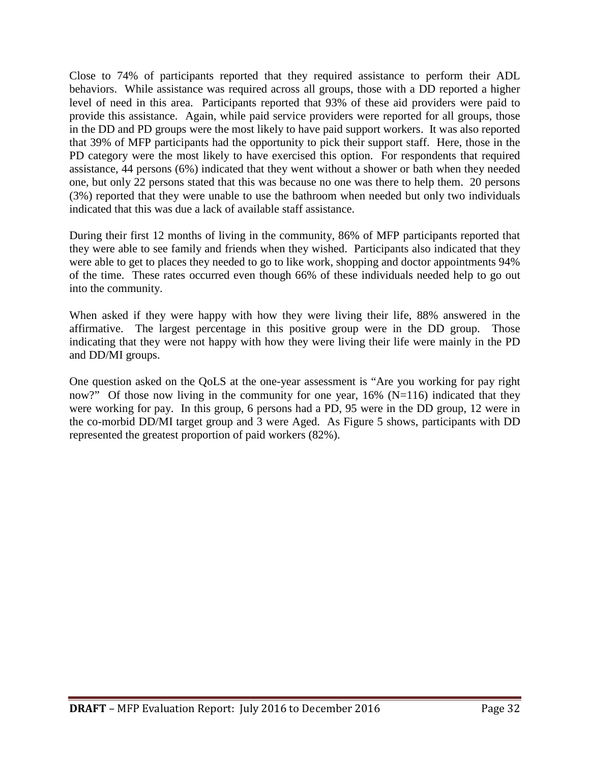Close to 74% of participants reported that they required assistance to perform their ADL behaviors. While assistance was required across all groups, those with a DD reported a higher level of need in this area. Participants reported that 93% of these aid providers were paid to provide this assistance. Again, while paid service providers were reported for all groups, those in the DD and PD groups were the most likely to have paid support workers. It was also reported that 39% of MFP participants had the opportunity to pick their support staff. Here, those in the PD category were the most likely to have exercised this option. For respondents that required assistance, 44 persons (6%) indicated that they went without a shower or bath when they needed one, but only 22 persons stated that this was because no one was there to help them. 20 persons (3%) reported that they were unable to use the bathroom when needed but only two individuals indicated that this was due a lack of available staff assistance.

During their first 12 months of living in the community, 86% of MFP participants reported that they were able to see family and friends when they wished. Participants also indicated that they were able to get to places they needed to go to like work, shopping and doctor appointments 94% of the time. These rates occurred even though 66% of these individuals needed help to go out into the community.

When asked if they were happy with how they were living their life, 88% answered in the affirmative. The largest percentage in this positive group were in the DD group. Those indicating that they were not happy with how they were living their life were mainly in the PD and DD/MI groups.

One question asked on the QoLS at the one-year assessment is "Are you working for pay right now?" Of those now living in the community for one year,  $16\%$  (N=116) indicated that they were working for pay. In this group, 6 persons had a PD, 95 were in the DD group, 12 were in the co-morbid DD/MI target group and 3 were Aged. As Figure 5 shows, participants with DD represented the greatest proportion of paid workers (82%).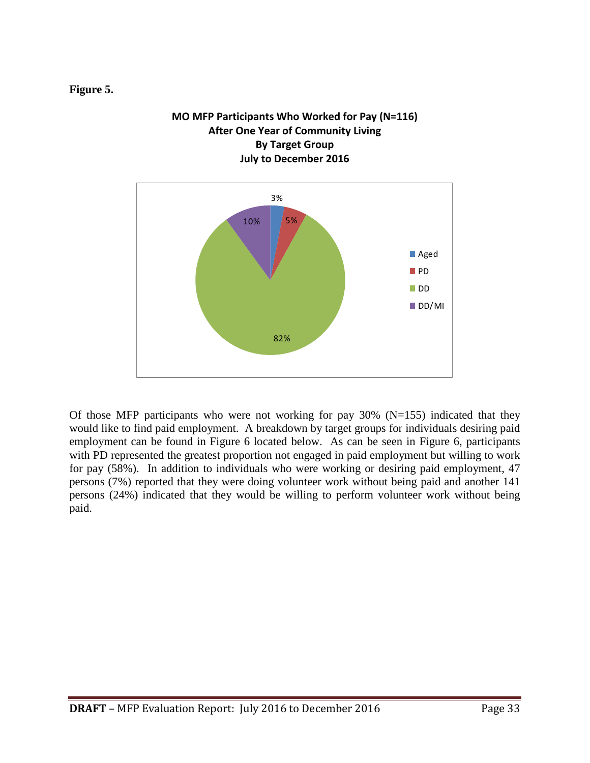#### **Figure 5.**



**MO MFP Participants Who Worked for Pay (N=116)**

Of those MFP participants who were not working for pay  $30\%$  (N=155) indicated that they would like to find paid employment. A breakdown by target groups for individuals desiring paid employment can be found in Figure 6 located below. As can be seen in Figure 6, participants with PD represented the greatest proportion not engaged in paid employment but willing to work for pay (58%). In addition to individuals who were working or desiring paid employment, 47 persons (7%) reported that they were doing volunteer work without being paid and another 141 persons (24%) indicated that they would be willing to perform volunteer work without being paid.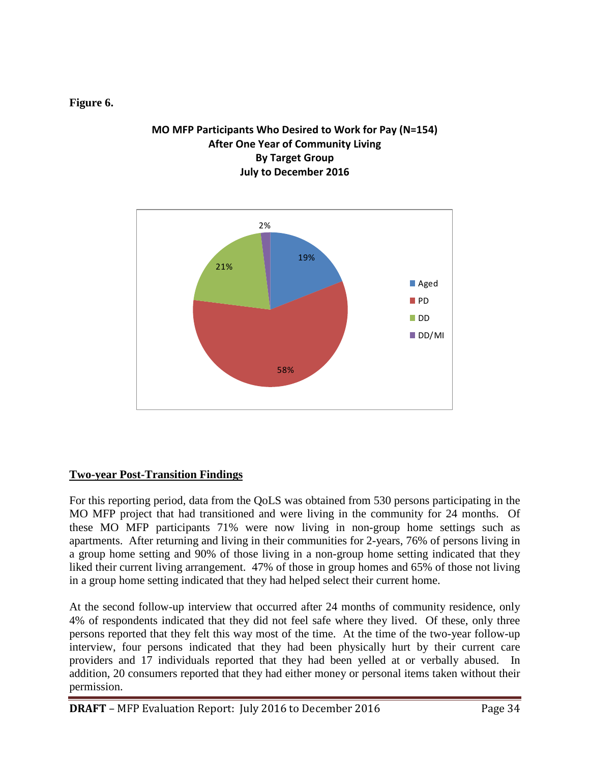#### **Figure 6.**

#### **MO MFP Participants Who Desired to Work for Pay (N=154) After One Year of Community Living By Target Group July to December 2016**



#### **Two-year Post-Transition Findings**

For this reporting period, data from the QoLS was obtained from 530 persons participating in the MO MFP project that had transitioned and were living in the community for 24 months. Of these MO MFP participants 71% were now living in non-group home settings such as apartments. After returning and living in their communities for 2-years, 76% of persons living in a group home setting and 90% of those living in a non-group home setting indicated that they liked their current living arrangement. 47% of those in group homes and 65% of those not living in a group home setting indicated that they had helped select their current home.

At the second follow-up interview that occurred after 24 months of community residence, only 4% of respondents indicated that they did not feel safe where they lived. Of these, only three persons reported that they felt this way most of the time. At the time of the two-year follow-up interview, four persons indicated that they had been physically hurt by their current care providers and 17 individuals reported that they had been yelled at or verbally abused. In addition, 20 consumers reported that they had either money or personal items taken without their permission.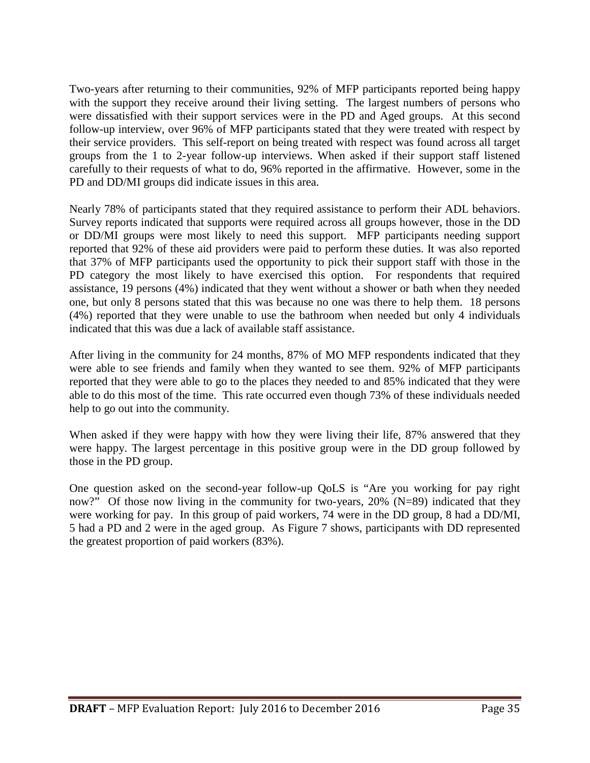Two-years after returning to their communities, 92% of MFP participants reported being happy with the support they receive around their living setting. The largest numbers of persons who were dissatisfied with their support services were in the PD and Aged groups. At this second follow-up interview, over 96% of MFP participants stated that they were treated with respect by their service providers. This self-report on being treated with respect was found across all target groups from the 1 to 2-year follow-up interviews. When asked if their support staff listened carefully to their requests of what to do, 96% reported in the affirmative. However, some in the PD and DD/MI groups did indicate issues in this area.

Nearly 78% of participants stated that they required assistance to perform their ADL behaviors. Survey reports indicated that supports were required across all groups however, those in the DD or DD/MI groups were most likely to need this support. MFP participants needing support reported that 92% of these aid providers were paid to perform these duties. It was also reported that 37% of MFP participants used the opportunity to pick their support staff with those in the PD category the most likely to have exercised this option. For respondents that required assistance, 19 persons (4%) indicated that they went without a shower or bath when they needed one, but only 8 persons stated that this was because no one was there to help them. 18 persons (4%) reported that they were unable to use the bathroom when needed but only 4 individuals indicated that this was due a lack of available staff assistance.

After living in the community for 24 months, 87% of MO MFP respondents indicated that they were able to see friends and family when they wanted to see them. 92% of MFP participants reported that they were able to go to the places they needed to and 85% indicated that they were able to do this most of the time. This rate occurred even though 73% of these individuals needed help to go out into the community.

When asked if they were happy with how they were living their life, 87% answered that they were happy. The largest percentage in this positive group were in the DD group followed by those in the PD group.

One question asked on the second-year follow-up QoLS is "Are you working for pay right now?" Of those now living in the community for two-years, 20% (N=89) indicated that they were working for pay. In this group of paid workers, 74 were in the DD group, 8 had a DD/MI, 5 had a PD and 2 were in the aged group. As Figure 7 shows, participants with DD represented the greatest proportion of paid workers (83%).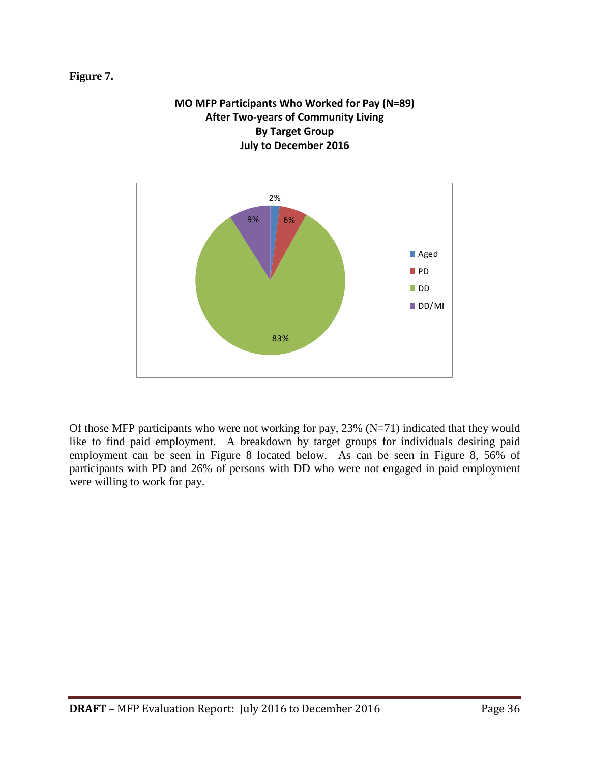#### **Figure 7.**



DD/MI

# **MO MFP Participants Who Worked for Pay (N=89)**



83%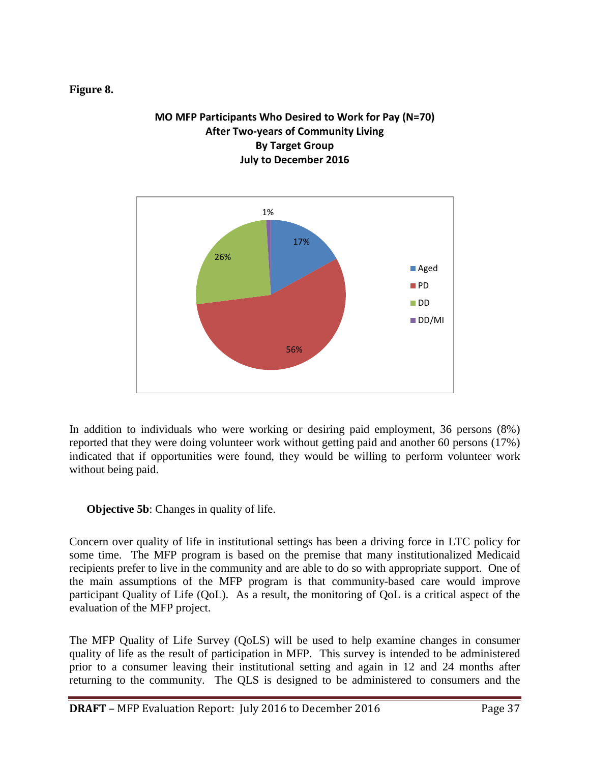#### **Figure 8.**

#### **MO MFP Participants Who Desired to Work for Pay (N=70) After Two-years of Community Living By Target Group July to December 2016**



In addition to individuals who were working or desiring paid employment, 36 persons (8%) reported that they were doing volunteer work without getting paid and another 60 persons (17%) indicated that if opportunities were found, they would be willing to perform volunteer work without being paid.

**Objective 5b:** Changes in quality of life.

Concern over quality of life in institutional settings has been a driving force in LTC policy for some time. The MFP program is based on the premise that many institutionalized Medicaid recipients prefer to live in the community and are able to do so with appropriate support. One of the main assumptions of the MFP program is that community-based care would improve participant Quality of Life (QoL). As a result, the monitoring of QoL is a critical aspect of the evaluation of the MFP project.

The MFP Quality of Life Survey (QoLS) will be used to help examine changes in consumer quality of life as the result of participation in MFP. This survey is intended to be administered prior to a consumer leaving their institutional setting and again in 12 and 24 months after returning to the community. The QLS is designed to be administered to consumers and the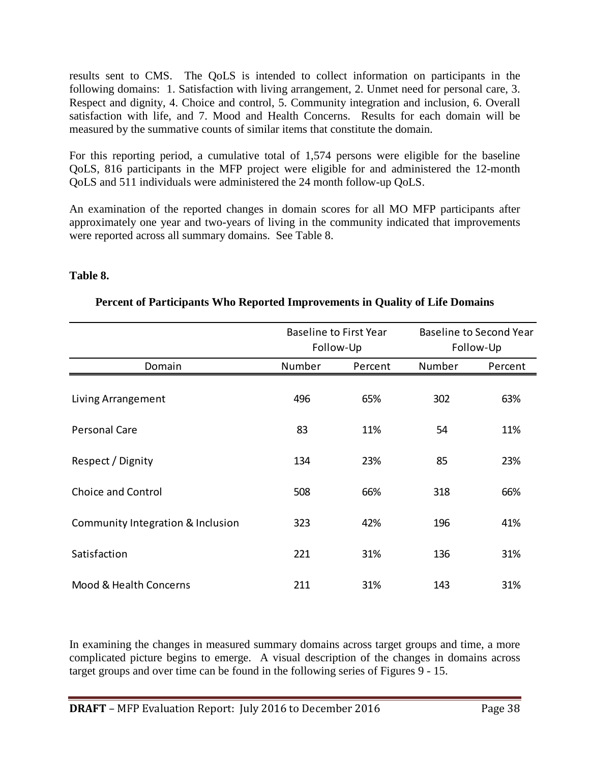results sent to CMS. The QoLS is intended to collect information on participants in the following domains: 1. Satisfaction with living arrangement, 2. Unmet need for personal care, 3. Respect and dignity, 4. Choice and control, 5. Community integration and inclusion, 6. Overall satisfaction with life, and 7. Mood and Health Concerns. Results for each domain will be measured by the summative counts of similar items that constitute the domain.

For this reporting period, a cumulative total of 1,574 persons were eligible for the baseline QoLS, 816 participants in the MFP project were eligible for and administered the 12-month QoLS and 511 individuals were administered the 24 month follow-up QoLS.

An examination of the reported changes in domain scores for all MO MFP participants after approximately one year and two-years of living in the community indicated that improvements were reported across all summary domains. See Table 8.

#### **Table 8.**

|                                   |        | <b>Baseline to First Year</b> |           | <b>Baseline to Second Year</b> |  |
|-----------------------------------|--------|-------------------------------|-----------|--------------------------------|--|
|                                   |        | Follow-Up                     | Follow-Up |                                |  |
| Domain                            | Number | Percent                       | Number    | Percent                        |  |
| Living Arrangement                | 496    | 65%                           | 302       | 63%                            |  |
| <b>Personal Care</b>              | 83     | 11%                           | 54        | 11%                            |  |
| Respect / Dignity                 | 134    | 23%                           | 85        | 23%                            |  |
| <b>Choice and Control</b>         | 508    | 66%                           | 318       | 66%                            |  |
| Community Integration & Inclusion | 323    | 42%                           | 196       | 41%                            |  |
| Satisfaction                      | 221    | 31%                           | 136       | 31%                            |  |
| Mood & Health Concerns            | 211    | 31%                           | 143       | 31%                            |  |

#### **Percent of Participants Who Reported Improvements in Quality of Life Domains**

In examining the changes in measured summary domains across target groups and time, a more complicated picture begins to emerge. A visual description of the changes in domains across target groups and over time can be found in the following series of Figures 9 - 15.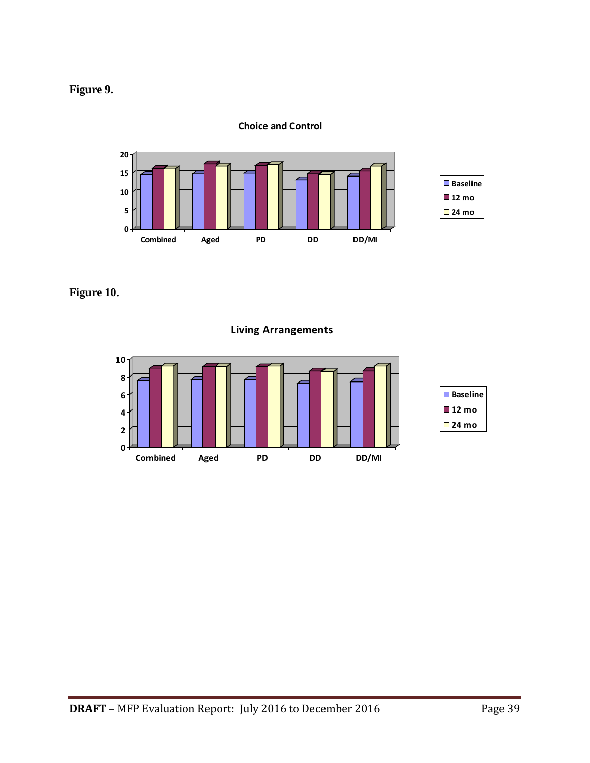



**Choice and Control**

**Figure 10**.

**Living Arrangements**

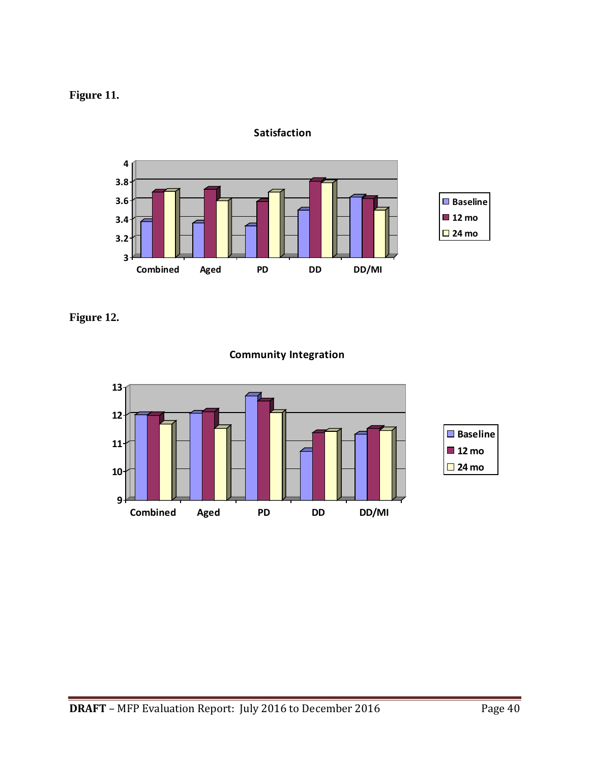## **Figure 11.**



**Satisfaction**

**Figure 12.**



#### **Community Integration**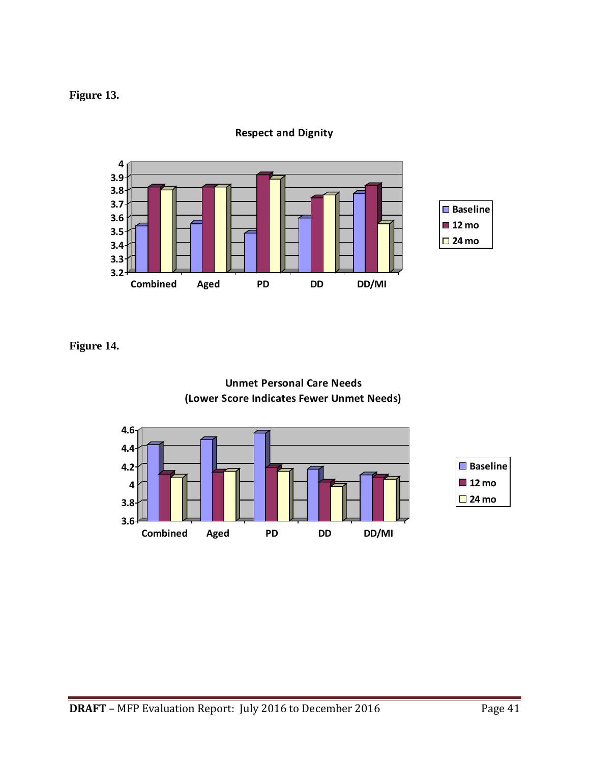#### **Figure 13.**



**Respect and Dignity**

**Figure 14.**



**Unmet Personal Care Needs**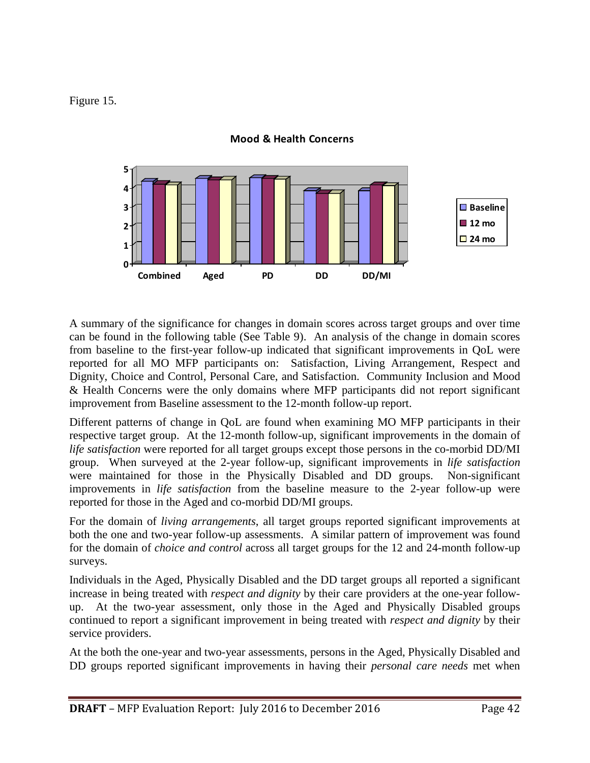#### Figure 15.



#### **Mood & Health Concerns**

A summary of the significance for changes in domain scores across target groups and over time can be found in the following table (See Table 9). An analysis of the change in domain scores from baseline to the first-year follow-up indicated that significant improvements in QoL were reported for all MO MFP participants on: Satisfaction, Living Arrangement, Respect and Dignity, Choice and Control, Personal Care, and Satisfaction. Community Inclusion and Mood & Health Concerns were the only domains where MFP participants did not report significant improvement from Baseline assessment to the 12-month follow-up report.

Different patterns of change in QoL are found when examining MO MFP participants in their respective target group. At the 12-month follow-up, significant improvements in the domain of *life satisfaction* were reported for all target groups except those persons in the co-morbid DD/MI group. When surveyed at the 2-year follow-up, significant improvements in *life satisfaction* were maintained for those in the Physically Disabled and DD groups. Non-significant improvements in *life satisfaction* from the baseline measure to the 2-year follow-up were reported for those in the Aged and co-morbid DD/MI groups.

For the domain of *living arrangements*, all target groups reported significant improvements at both the one and two-year follow-up assessments. A similar pattern of improvement was found for the domain of *choice and control* across all target groups for the 12 and 24-month follow-up surveys.

Individuals in the Aged, Physically Disabled and the DD target groups all reported a significant increase in being treated with *respect and dignity* by their care providers at the one-year followup. At the two-year assessment, only those in the Aged and Physically Disabled groups continued to report a significant improvement in being treated with *respect and dignity* by their service providers.

At the both the one-year and two-year assessments, persons in the Aged, Physically Disabled and DD groups reported significant improvements in having their *personal care needs* met when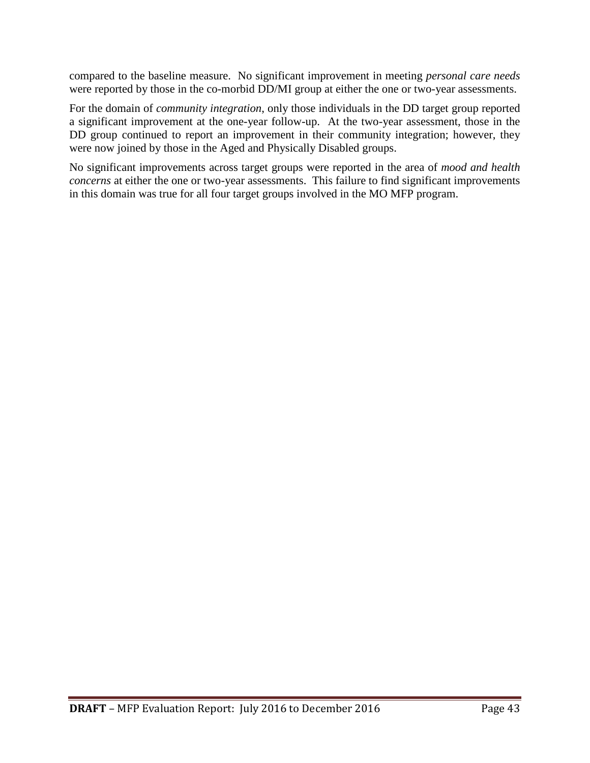compared to the baseline measure. No significant improvement in meeting *personal care needs*  were reported by those in the co-morbid DD/MI group at either the one or two-year assessments.

For the domain of *community integration*, only those individuals in the DD target group reported a significant improvement at the one-year follow-up. At the two-year assessment, those in the DD group continued to report an improvement in their community integration; however, they were now joined by those in the Aged and Physically Disabled groups.

No significant improvements across target groups were reported in the area of *mood and health concerns* at either the one or two-year assessments. This failure to find significant improvements in this domain was true for all four target groups involved in the MO MFP program.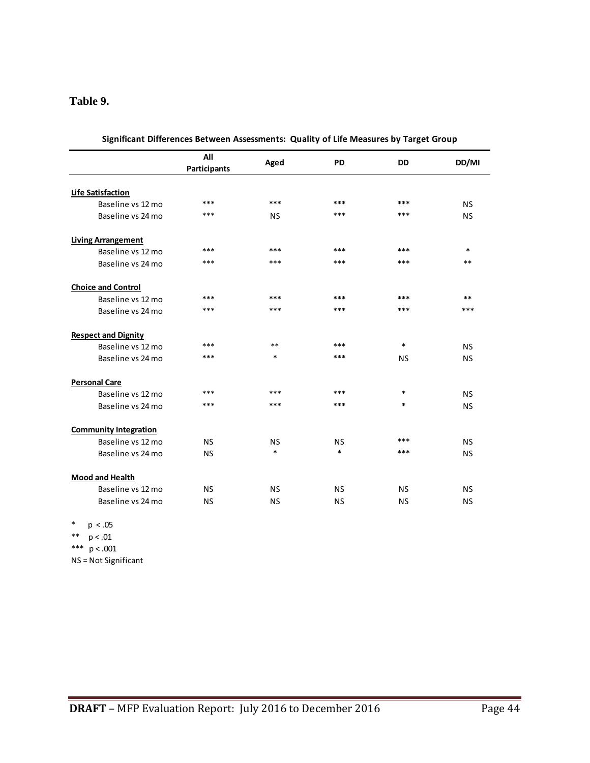#### **Table 9.**

|                              | All                 | Aged      | <b>PD</b> | <b>DD</b> | DD/MI     |
|------------------------------|---------------------|-----------|-----------|-----------|-----------|
|                              | <b>Participants</b> |           |           |           |           |
| <b>Life Satisfaction</b>     |                     |           |           |           |           |
| Baseline vs 12 mo            | ***                 | ***       | ***       | ***       | <b>NS</b> |
| Baseline vs 24 mo            | ***                 | <b>NS</b> | ***       | $***$     | <b>NS</b> |
| <b>Living Arrangement</b>    |                     |           |           |           |           |
| Baseline vs 12 mo            | ***                 | ***       | ***       | ***       | $\ast$    |
| Baseline vs 24 mo            | ***                 | ***       | ***       | $***$     | $***$     |
| <b>Choice and Control</b>    |                     |           |           |           |           |
| Baseline vs 12 mo            | ***                 | ***       | ***       | $***$     | $***$     |
| Baseline vs 24 mo            | ***                 | ***       | ***       | ***       | ***       |
| <b>Respect and Dignity</b>   |                     |           |           |           |           |
| Baseline vs 12 mo            | ***                 | $**$      | ***       | $\ast$    | <b>NS</b> |
| Baseline vs 24 mo            | ***                 | $\ast$    | ***       | <b>NS</b> | <b>NS</b> |
| <b>Personal Care</b>         |                     |           |           |           |           |
| Baseline vs 12 mo            | ***                 | ***       | ***       | $\ast$    | <b>NS</b> |
| Baseline vs 24 mo            | ***                 | ***       | ***       | $\ast$    | <b>NS</b> |
| <b>Community Integration</b> |                     |           |           |           |           |
| Baseline vs 12 mo            | <b>NS</b>           | <b>NS</b> | <b>NS</b> | ***       | <b>NS</b> |
| Baseline vs 24 mo            | <b>NS</b>           | $\ast$    | $\ast$    | ***       | <b>NS</b> |
| <b>Mood and Health</b>       |                     |           |           |           |           |
| Baseline vs 12 mo            | <b>NS</b>           | <b>NS</b> | <b>NS</b> | <b>NS</b> | <b>NS</b> |
| Baseline vs 24 mo            | <b>NS</b>           | <b>NS</b> | <b>NS</b> | <b>NS</b> | <b>NS</b> |

| Significant Differences Between Assessments: Quality of Life Measures by Target Group |  |
|---------------------------------------------------------------------------------------|--|
|                                                                                       |  |

\* p < .05

\*\*  $p < .01$ 

\*\*\*  $p < .001$ 

NS = Not Significant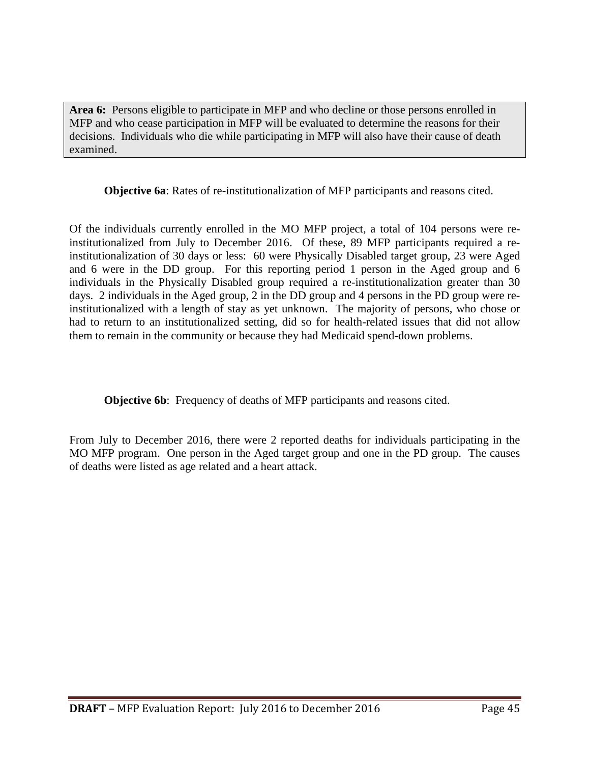**Area 6:** Persons eligible to participate in MFP and who decline or those persons enrolled in MFP and who cease participation in MFP will be evaluated to determine the reasons for their decisions. Individuals who die while participating in MFP will also have their cause of death examined.

**Objective 6a**: Rates of re-institutionalization of MFP participants and reasons cited.

Of the individuals currently enrolled in the MO MFP project, a total of 104 persons were reinstitutionalized from July to December 2016. Of these, 89 MFP participants required a reinstitutionalization of 30 days or less: 60 were Physically Disabled target group, 23 were Aged and 6 were in the DD group. For this reporting period 1 person in the Aged group and 6 individuals in the Physically Disabled group required a re-institutionalization greater than 30 days. 2 individuals in the Aged group, 2 in the DD group and 4 persons in the PD group were reinstitutionalized with a length of stay as yet unknown. The majority of persons, who chose or had to return to an institutionalized setting, did so for health-related issues that did not allow them to remain in the community or because they had Medicaid spend-down problems.

**Objective 6b:** Frequency of deaths of MFP participants and reasons cited.

From July to December 2016, there were 2 reported deaths for individuals participating in the MO MFP program. One person in the Aged target group and one in the PD group. The causes of deaths were listed as age related and a heart attack.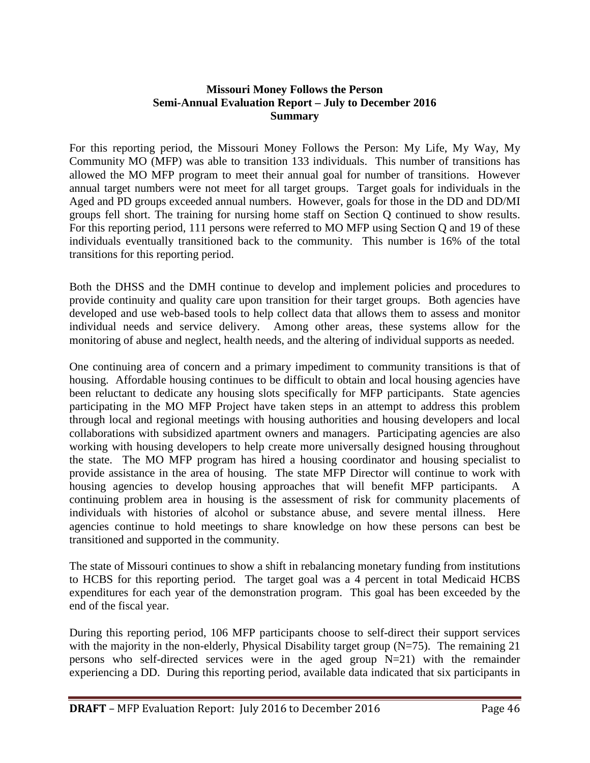#### **Missouri Money Follows the Person Semi-Annual Evaluation Report – July to December 2016 Summary**

For this reporting period, the Missouri Money Follows the Person: My Life, My Way, My Community MO (MFP) was able to transition 133 individuals. This number of transitions has allowed the MO MFP program to meet their annual goal for number of transitions. However annual target numbers were not meet for all target groups. Target goals for individuals in the Aged and PD groups exceeded annual numbers. However, goals for those in the DD and DD/MI groups fell short. The training for nursing home staff on Section Q continued to show results. For this reporting period, 111 persons were referred to MO MFP using Section Q and 19 of these individuals eventually transitioned back to the community. This number is 16% of the total transitions for this reporting period.

Both the DHSS and the DMH continue to develop and implement policies and procedures to provide continuity and quality care upon transition for their target groups. Both agencies have developed and use web-based tools to help collect data that allows them to assess and monitor individual needs and service delivery. Among other areas, these systems allow for the monitoring of abuse and neglect, health needs, and the altering of individual supports as needed.

One continuing area of concern and a primary impediment to community transitions is that of housing. Affordable housing continues to be difficult to obtain and local housing agencies have been reluctant to dedicate any housing slots specifically for MFP participants. State agencies participating in the MO MFP Project have taken steps in an attempt to address this problem through local and regional meetings with housing authorities and housing developers and local collaborations with subsidized apartment owners and managers. Participating agencies are also working with housing developers to help create more universally designed housing throughout the state. The MO MFP program has hired a housing coordinator and housing specialist to provide assistance in the area of housing. The state MFP Director will continue to work with housing agencies to develop housing approaches that will benefit MFP participants. A continuing problem area in housing is the assessment of risk for community placements of individuals with histories of alcohol or substance abuse, and severe mental illness. Here agencies continue to hold meetings to share knowledge on how these persons can best be transitioned and supported in the community.

The state of Missouri continues to show a shift in rebalancing monetary funding from institutions to HCBS for this reporting period. The target goal was a 4 percent in total Medicaid HCBS expenditures for each year of the demonstration program. This goal has been exceeded by the end of the fiscal year.

During this reporting period, 106 MFP participants choose to self-direct their support services with the majority in the non-elderly, Physical Disability target group (N=75). The remaining 21 persons who self-directed services were in the aged group N=21) with the remainder experiencing a DD. During this reporting period, available data indicated that six participants in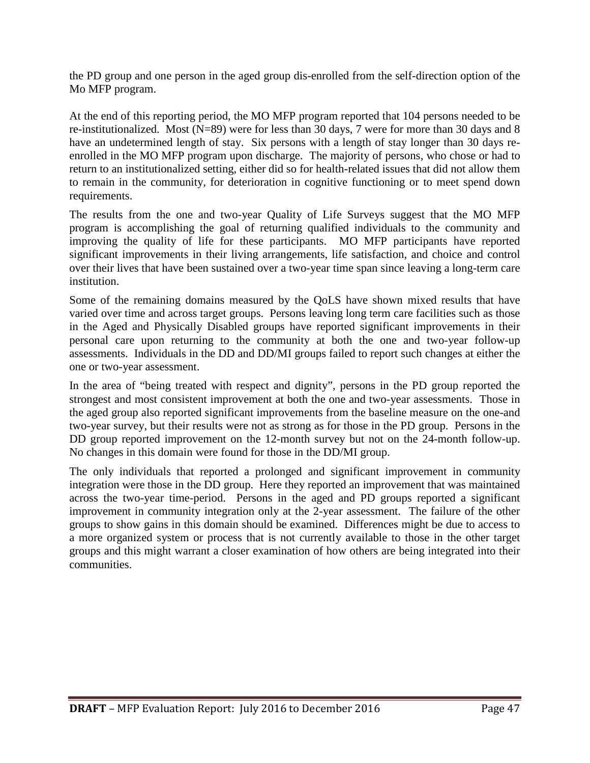the PD group and one person in the aged group dis-enrolled from the self-direction option of the Mo MFP program.

At the end of this reporting period, the MO MFP program reported that 104 persons needed to be re-institutionalized. Most (N=89) were for less than 30 days, 7 were for more than 30 days and 8 have an undetermined length of stay. Six persons with a length of stay longer than 30 days reenrolled in the MO MFP program upon discharge. The majority of persons, who chose or had to return to an institutionalized setting, either did so for health-related issues that did not allow them to remain in the community, for deterioration in cognitive functioning or to meet spend down requirements.

The results from the one and two-year Quality of Life Surveys suggest that the MO MFP program is accomplishing the goal of returning qualified individuals to the community and improving the quality of life for these participants. MO MFP participants have reported significant improvements in their living arrangements, life satisfaction, and choice and control over their lives that have been sustained over a two-year time span since leaving a long-term care institution.

Some of the remaining domains measured by the QoLS have shown mixed results that have varied over time and across target groups. Persons leaving long term care facilities such as those in the Aged and Physically Disabled groups have reported significant improvements in their personal care upon returning to the community at both the one and two-year follow-up assessments. Individuals in the DD and DD/MI groups failed to report such changes at either the one or two-year assessment.

In the area of "being treated with respect and dignity", persons in the PD group reported the strongest and most consistent improvement at both the one and two-year assessments. Those in the aged group also reported significant improvements from the baseline measure on the one-and two-year survey, but their results were not as strong as for those in the PD group. Persons in the DD group reported improvement on the 12-month survey but not on the 24-month follow-up. No changes in this domain were found for those in the DD/MI group.

The only individuals that reported a prolonged and significant improvement in community integration were those in the DD group. Here they reported an improvement that was maintained across the two-year time-period. Persons in the aged and PD groups reported a significant improvement in community integration only at the 2-year assessment. The failure of the other groups to show gains in this domain should be examined. Differences might be due to access to a more organized system or process that is not currently available to those in the other target groups and this might warrant a closer examination of how others are being integrated into their communities.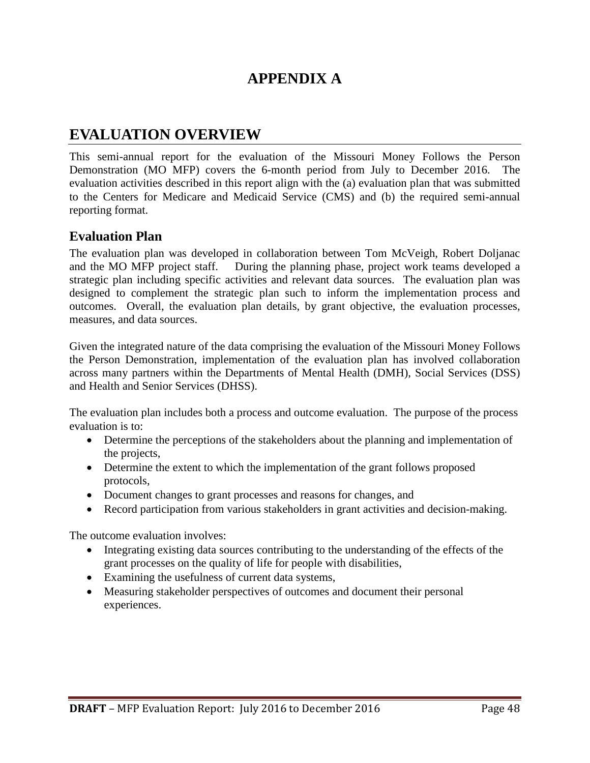## **APPENDIX A**

## **EVALUATION OVERVIEW**

This semi-annual report for the evaluation of the Missouri Money Follows the Person Demonstration (MO MFP) covers the 6-month period from July to December 2016. The evaluation activities described in this report align with the (a) evaluation plan that was submitted to the Centers for Medicare and Medicaid Service (CMS) and (b) the required semi-annual reporting format.

#### **Evaluation Plan**

The evaluation plan was developed in collaboration between Tom McVeigh, Robert Doljanac and the MO MFP project staff. During the planning phase, project work teams developed a strategic plan including specific activities and relevant data sources. The evaluation plan was designed to complement the strategic plan such to inform the implementation process and outcomes. Overall, the evaluation plan details, by grant objective, the evaluation processes, measures, and data sources.

Given the integrated nature of the data comprising the evaluation of the Missouri Money Follows the Person Demonstration, implementation of the evaluation plan has involved collaboration across many partners within the Departments of Mental Health (DMH), Social Services (DSS) and Health and Senior Services (DHSS).

The evaluation plan includes both a process and outcome evaluation. The purpose of the process evaluation is to:

- Determine the perceptions of the stakeholders about the planning and implementation of the projects,
- Determine the extent to which the implementation of the grant follows proposed protocols,
- Document changes to grant processes and reasons for changes, and
- Record participation from various stakeholders in grant activities and decision-making.

The outcome evaluation involves:

- Integrating existing data sources contributing to the understanding of the effects of the grant processes on the quality of life for people with disabilities,
- Examining the usefulness of current data systems,
- Measuring stakeholder perspectives of outcomes and document their personal experiences.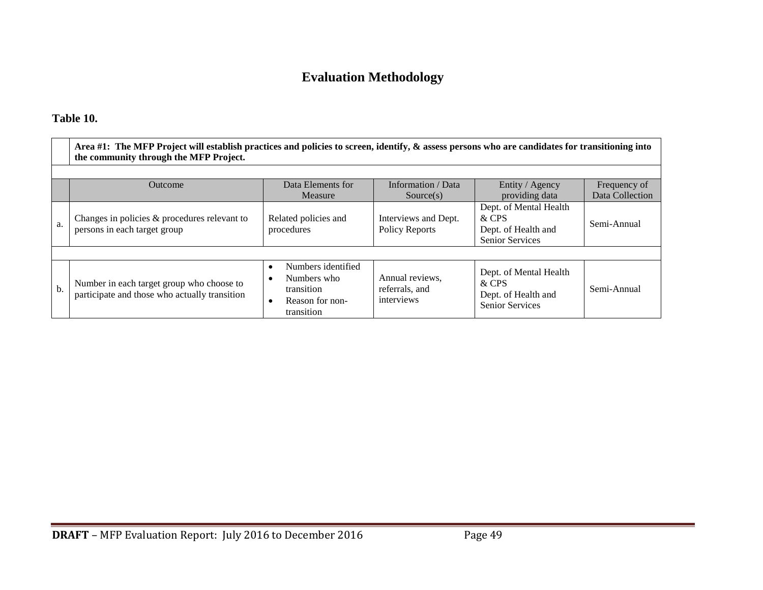## **Evaluation Methodology**

#### **Table 10.**

|     | Area #1: The MFP Project will establish practices and policies to screen, identify, & assess persons who are candidates for transitioning into<br>the community through the MFP Project. |                                                                                               |                                                            |                                                                                                    |             |  |  |  |  |
|-----|------------------------------------------------------------------------------------------------------------------------------------------------------------------------------------------|-----------------------------------------------------------------------------------------------|------------------------------------------------------------|----------------------------------------------------------------------------------------------------|-------------|--|--|--|--|
|     | Data Elements for<br>Information / Data<br>Entity / Agency<br>Outcome<br>Frequency of<br>Data Collection                                                                                 |                                                                                               |                                                            |                                                                                                    |             |  |  |  |  |
| a.  | Changes in policies & procedures relevant to<br>persons in each target group                                                                                                             | Measure<br>Related policies and<br>procedures                                                 | Source(s)<br>Interviews and Dept.<br><b>Policy Reports</b> | providing data<br>Dept. of Mental Health<br>& CPS<br>Dept. of Health and<br><b>Senior Services</b> | Semi-Annual |  |  |  |  |
|     |                                                                                                                                                                                          |                                                                                               |                                                            |                                                                                                    |             |  |  |  |  |
| $b$ | Number in each target group who choose to<br>participate and those who actually transition                                                                                               | Numbers identified<br>$\bullet$<br>Numbers who<br>transition<br>Reason for non-<br>transition | Annual reviews,<br>referrals, and<br>interviews            | Dept. of Mental Health<br>& CPS<br>Dept. of Health and<br><b>Senior Services</b>                   | Semi-Annual |  |  |  |  |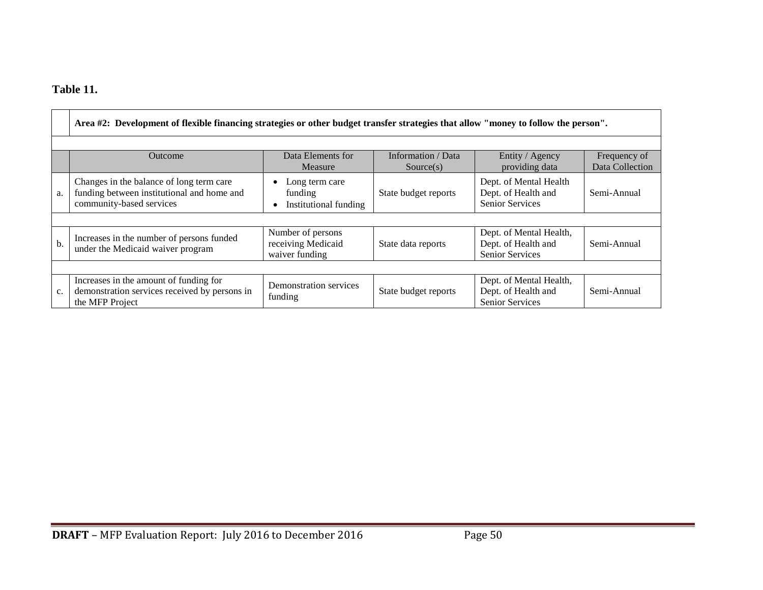## **Table 11.**

|    | Area #2: Development of flexible financing strategies or other budget transfer strategies that allow "money to follow the person". |                                                           |                                 |                                                                          |                                 |  |  |  |
|----|------------------------------------------------------------------------------------------------------------------------------------|-----------------------------------------------------------|---------------------------------|--------------------------------------------------------------------------|---------------------------------|--|--|--|
|    |                                                                                                                                    |                                                           |                                 |                                                                          |                                 |  |  |  |
|    | <b>Outcome</b>                                                                                                                     | Data Elements for<br>Measure                              | Information / Data<br>Source(s) | Entity / Agency<br>providing data                                        | Frequency of<br>Data Collection |  |  |  |
| a. | Changes in the balance of long term care<br>funding between institutional and home and<br>community-based services                 | Long term care<br>funding<br>Institutional funding        | State budget reports            | Dept. of Mental Health<br>Dept. of Health and<br><b>Senior Services</b>  | Semi-Annual                     |  |  |  |
|    |                                                                                                                                    |                                                           |                                 |                                                                          |                                 |  |  |  |
| b. | Increases in the number of persons funded<br>under the Medicaid waiver program                                                     | Number of persons<br>receiving Medicaid<br>waiver funding | State data reports              | Dept. of Mental Health,<br>Dept. of Health and<br><b>Senior Services</b> | Semi-Annual                     |  |  |  |
|    |                                                                                                                                    |                                                           |                                 |                                                                          |                                 |  |  |  |
| c. | Increases in the amount of funding for<br>demonstration services received by persons in<br>the MFP Project                         | Demonstration services<br>funding                         | State budget reports            | Dept. of Mental Health,<br>Dept. of Health and<br><b>Senior Services</b> | Semi-Annual                     |  |  |  |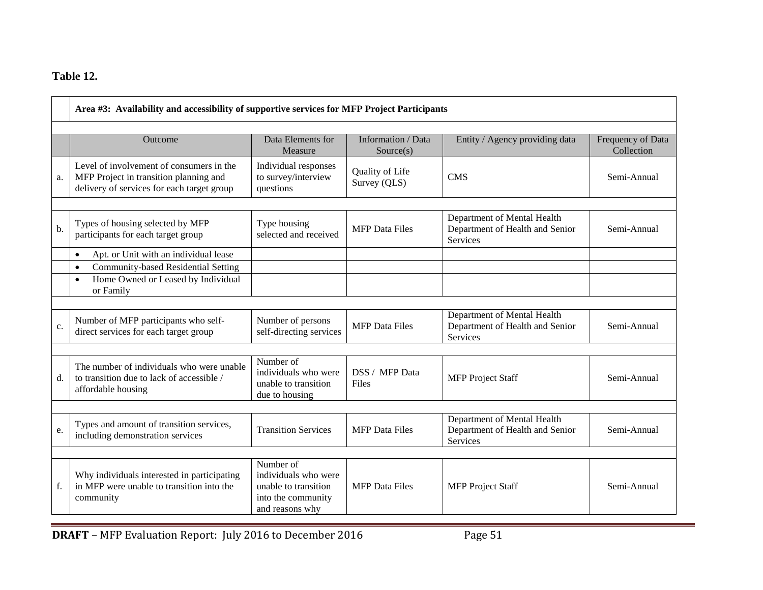## **Table 12.**

|    | Area #3: Availability and accessibility of supportive services for MFP Project Participants                                      |                                                                                                    |                                 |                                                                                   |                                 |  |  |  |
|----|----------------------------------------------------------------------------------------------------------------------------------|----------------------------------------------------------------------------------------------------|---------------------------------|-----------------------------------------------------------------------------------|---------------------------------|--|--|--|
|    | Outcome                                                                                                                          | Data Elements for<br>Measure                                                                       | Information / Data<br>Source(s) | Entity / Agency providing data                                                    | Frequency of Data<br>Collection |  |  |  |
| a. | Level of involvement of consumers in the<br>MFP Project in transition planning and<br>delivery of services for each target group | Individual responses<br>to survey/interview<br>questions                                           | Quality of Life<br>Survey (QLS) | <b>CMS</b>                                                                        | Semi-Annual                     |  |  |  |
| b. | Types of housing selected by MFP<br>participants for each target group                                                           | Type housing<br>selected and received                                                              | <b>MFP</b> Data Files           | Department of Mental Health<br>Department of Health and Senior<br>Services        | Semi-Annual                     |  |  |  |
|    | Apt. or Unit with an individual lease<br>$\bullet$                                                                               |                                                                                                    |                                 |                                                                                   |                                 |  |  |  |
|    | Community-based Residential Setting<br>$\bullet$<br>Home Owned or Leased by Individual<br>$\bullet$<br>or Family                 |                                                                                                    |                                 |                                                                                   |                                 |  |  |  |
| c. | Number of MFP participants who self-<br>direct services for each target group                                                    | Number of persons<br>self-directing services                                                       | <b>MFP</b> Data Files           | Department of Mental Health<br>Department of Health and Senior<br><b>Services</b> | Semi-Annual                     |  |  |  |
| d. | The number of individuals who were unable<br>to transition due to lack of accessible /<br>affordable housing                     | Number of<br>individuals who were<br>unable to transition<br>due to housing                        | DSS / MFP Data<br>Files         | <b>MFP</b> Project Staff                                                          | Semi-Annual                     |  |  |  |
| e. | Types and amount of transition services,<br>including demonstration services                                                     | <b>Transition Services</b>                                                                         | <b>MFP</b> Data Files           | Department of Mental Health<br>Department of Health and Senior<br>Services        | Semi-Annual                     |  |  |  |
| f. | Why individuals interested in participating<br>in MFP were unable to transition into the<br>community                            | Number of<br>individuals who were<br>unable to transition<br>into the community<br>and reasons why | <b>MFP</b> Data Files           | <b>MFP</b> Project Staff                                                          | Semi-Annual                     |  |  |  |

**DRAFT** – MFP Evaluation Report: July 2016 to December 2016 Page 51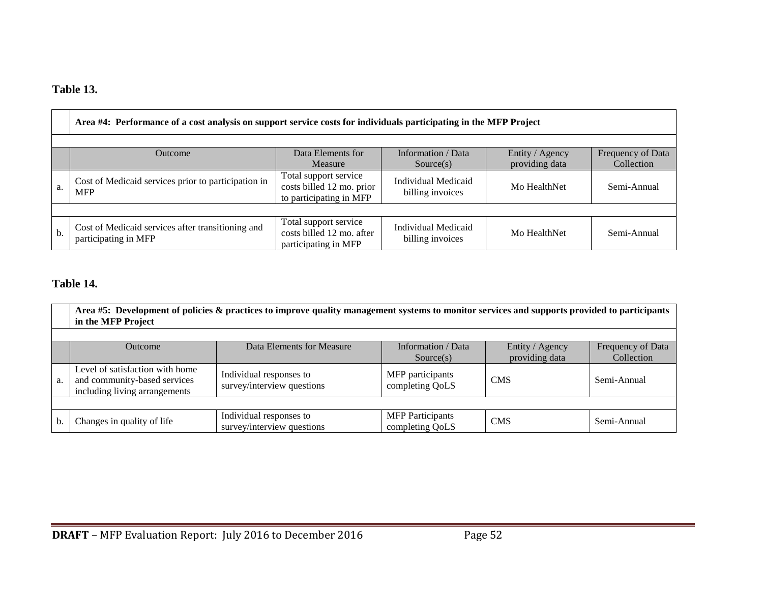## **Table 13.**

|    | Area #4: Performance of a cost analysis on support service costs for individuals participating in the MFP Project                                         |                                                                               |                                                |              |             |  |  |  |  |
|----|-----------------------------------------------------------------------------------------------------------------------------------------------------------|-------------------------------------------------------------------------------|------------------------------------------------|--------------|-------------|--|--|--|--|
|    | Data Elements for<br>Information / Data<br>Entity / Agency<br>Frequency of Data<br><b>Outcome</b><br>providing data<br>Collection<br>Measure<br>Source(s) |                                                                               |                                                |              |             |  |  |  |  |
| a. | Cost of Medicaid services prior to participation in<br><b>MFP</b>                                                                                         | Total support service<br>costs billed 12 mo. prior<br>to participating in MFP | <b>Individual Medicaid</b><br>billing invoices | Mo HealthNet | Semi-Annual |  |  |  |  |
|    |                                                                                                                                                           |                                                                               |                                                |              |             |  |  |  |  |
| b. | Cost of Medicaid services after transitioning and<br>participating in MFP                                                                                 | Total support service<br>costs billed 12 mo. after<br>participating in MFP    | Individual Medicaid<br>billing invoices        | Mo HealthNet | Semi-Annual |  |  |  |  |

## **Table 14.**

|                | Area #5: Development of policies & practices to improve quality management systems to monitor services and supports provided to participants<br>in the MFP Project |                                                       |                                            |                                   |                                 |  |  |  |  |  |
|----------------|--------------------------------------------------------------------------------------------------------------------------------------------------------------------|-------------------------------------------------------|--------------------------------------------|-----------------------------------|---------------------------------|--|--|--|--|--|
|                |                                                                                                                                                                    |                                                       |                                            |                                   |                                 |  |  |  |  |  |
|                | <b>Outcome</b>                                                                                                                                                     | Data Elements for Measure                             | Information / Data<br>Source(s)            | Entity / Agency<br>providing data | Frequency of Data<br>Collection |  |  |  |  |  |
| a.             | Level of satisfaction with home<br>and community-based services<br>including living arrangements                                                                   | Individual responses to<br>survey/interview questions | MFP participants<br>completing QoLS        | <b>CMS</b>                        | Semi-Annual                     |  |  |  |  |  |
|                |                                                                                                                                                                    |                                                       |                                            |                                   |                                 |  |  |  |  |  |
| $\mathbf{b}$ . | Changes in quality of life                                                                                                                                         | Individual responses to<br>survey/interview questions | <b>MFP</b> Participants<br>completing QoLS | <b>CMS</b>                        | Semi-Annual                     |  |  |  |  |  |